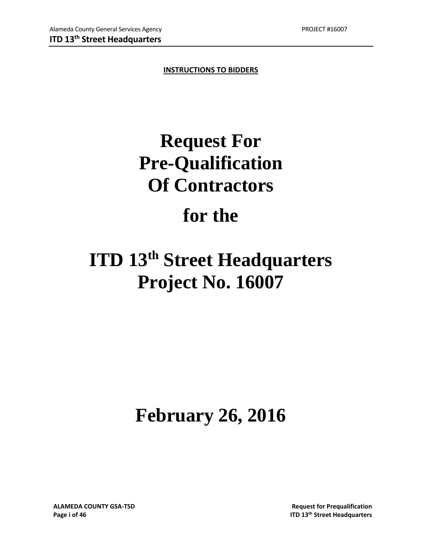**INSTRUCTIONS TO BIDDERS**

# **Request For Pre-Qualification Of Contractors**

## **for the**

## **ITD 13th Street Headquarters Project No. 16007**

# **February 26, 2016**

**ALAMEDA COUNTY GSA‐TSD Request for Prequalification**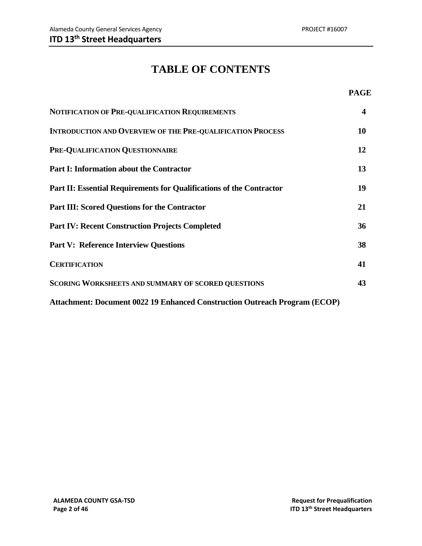### **TABLE OF CONTENTS**

### **PAGE**

| NOTIFICATION OF PRE-QUALIFICATION REQUIREMENTS                                    | $\overline{\mathbf{4}}$ |
|-----------------------------------------------------------------------------------|-------------------------|
| <b>INTRODUCTION AND OVERVIEW OF THE PRE-QUALIFICATION PROCESS</b>                 | 10                      |
| PRE-QUALIFICATION QUESTIONNAIRE                                                   | 12                      |
| <b>Part I: Information about the Contractor</b>                                   | 13                      |
| Part II: Essential Requirements for Qualifications of the Contractor              | 19                      |
| <b>Part III: Scored Questions for the Contractor</b>                              | 21                      |
| <b>Part IV: Recent Construction Projects Completed</b>                            | 36                      |
| <b>Part V: Reference Interview Questions</b>                                      | 38                      |
| <b>CERTIFICATION</b>                                                              | 41                      |
| <b>SCORING WORKSHEETS AND SUMMARY OF SCORED QUESTIONS</b>                         | 43                      |
| <b>Attachment: Document 0022 19 Enhanced Construction Outreach Program (ECOP)</b> |                         |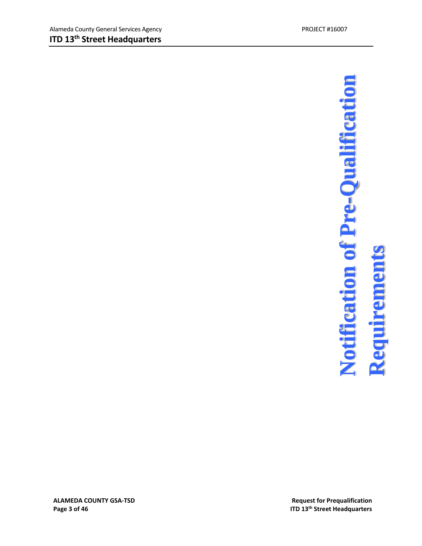# **3 of 46 ITD 13th Street Headquarters Notification of Pre-Qualification Requirements**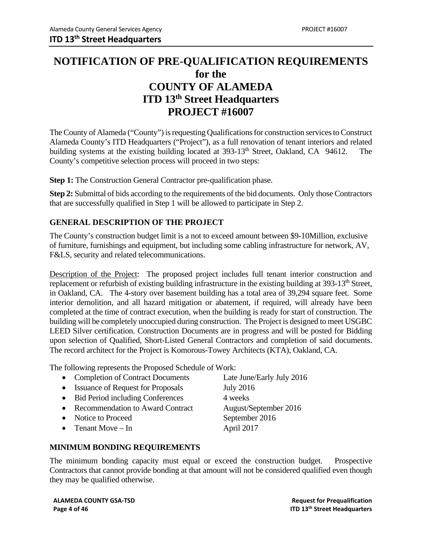### **NOTIFICATION OF PRE-QUALIFICATION REQUIREMENTS for the COUNTY OF ALAMEDA ITD 13th Street Headquarters PROJECT #16007**

The County of Alameda ("County") is requesting Qualifications for construction services to Construct Alameda County's ITD Headquarters ("Project"), as a full renovation of tenant interiors and related building systems at the existing building located at 393-13<sup>th</sup> Street, Oakland, CA 94612. The County's competitive selection process will proceed in two steps:

**Step 1:** The Construction General Contractor pre-qualification phase.

**Step 2:** Submittal of bids according to the requirements of the bid documents. Only those Contractors that are successfully qualified in Step 1 will be allowed to participate in Step 2.

### **GENERAL DESCRIPTION OF THE PROJECT**

The County's construction budget limit is a not to exceed amount between \$9-10Million, exclusive of furniture, furnishings and equipment, but including some cabling infrastructure for network, AV, F&LS, security and related telecommunications.

Description of the Project: The proposed project includes full tenant interior construction and replacement or refurbish of existing building infrastructure in the existing building at 393-13<sup>th</sup> Street, in Oakland, CA. The 4-story over basement building has a total area of 39,294 square feet. Some interior demolition, and all hazard mitigation or abatement, if required, will already have been completed at the time of contract execution, when the building is ready for start of construction. The building will be completely unoccupied during construction. The Project is designed to meet USGBC LEED Silver certification. Construction Documents are in progress and will be posted for Bidding upon selection of Qualified, Short-Listed General Contractors and completion of said documents. The record architect for the Project is Komorous-Towey Architects (KTA), Oakland, CA.

The following represents the Proposed Schedule of Work:

- Completion of Contract Documents Late June/Early July 2016
- Issuance of Request for Proposals July 2016
- Bid Period including Conferences 4 weeks
- Recommendation to Award Contract August/September 2016
- 
- 
- Notice to Proceed September 2016 • Tenant Move – In April 2017

### **MINIMUM BONDING REQUIREMENTS**

The minimum bonding capacity must equal or exceed the construction budget. Prospective Contractors that cannot provide bonding at that amount will not be considered qualified even though they may be qualified otherwise.

**ALAMEDA COUNTY GSA‐TSD Request for Prequalification Page 4 of 46 ITD 13th Street Headquarters**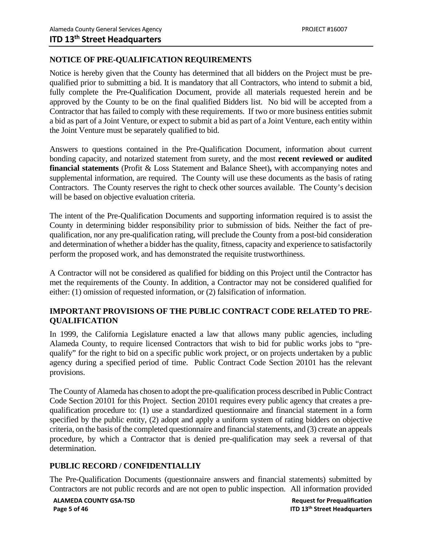### **NOTICE OF PRE-QUALIFICATION REQUIREMENTS**

Notice is hereby given that the County has determined that all bidders on the Project must be prequalified prior to submitting a bid. It is mandatory that all Contractors, who intend to submit a bid, fully complete the Pre-Qualification Document, provide all materials requested herein and be approved by the County to be on the final qualified Bidders list. No bid will be accepted from a Contractor that has failed to comply with these requirements. If two or more business entities submit a bid as part of a Joint Venture, or expect to submit a bid as part of a Joint Venture, each entity within the Joint Venture must be separately qualified to bid.

Answers to questions contained in the Pre-Qualification Document, information about current bonding capacity, and notarized statement from surety, and the most **recent reviewed or audited financial statements** (Profit & Loss Statement and Balance Sheet)**,** with accompanying notes and supplemental information, are required. The County will use these documents as the basis of rating Contractors. The County reserves the right to check other sources available. The County's decision will be based on objective evaluation criteria.

The intent of the Pre-Qualification Documents and supporting information required is to assist the County in determining bidder responsibility prior to submission of bids. Neither the fact of prequalification, nor any pre-qualification rating, will preclude the County from a post-bid consideration and determination of whether a bidder has the quality, fitness, capacity and experience to satisfactorily perform the proposed work, and has demonstrated the requisite trustworthiness.

A Contractor will not be considered as qualified for bidding on this Project until the Contractor has met the requirements of the County. In addition, a Contractor may not be considered qualified for either: (1) omission of requested information, or (2) falsification of information.

### **IMPORTANT PROVISIONS OF THE PUBLIC CONTRACT CODE RELATED TO PRE-QUALIFICATION**

In 1999, the California Legislature enacted a law that allows many public agencies, including Alameda County, to require licensed Contractors that wish to bid for public works jobs to "prequalify" for the right to bid on a specific public work project, or on projects undertaken by a public agency during a specified period of time. Public Contract Code Section 20101 has the relevant provisions.

The County of Alameda has chosen to adopt the pre-qualification process described in Public Contract Code Section 20101 for this Project. Section 20101 requires every public agency that creates a prequalification procedure to: (1) use a standardized questionnaire and financial statement in a form specified by the public entity, (2) adopt and apply a uniform system of rating bidders on objective criteria, on the basis of the completed questionnaire and financial statements, and (3) create an appeals procedure, by which a Contractor that is denied pre-qualification may seek a reversal of that determination.

### **PUBLIC RECORD / CONFIDENTIALLIY**

The Pre-Qualification Documents (questionnaire answers and financial statements) submitted by Contractors are not public records and are not open to public inspection. All information provided

**ALAMEDA COUNTY GSA‐TSD Request for Prequalification**

**Page 5 of 46 ITD 13th Street Headquarters**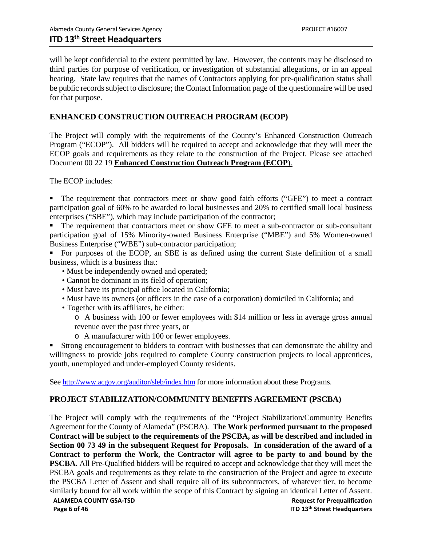will be kept confidential to the extent permitted by law. However, the contents may be disclosed to third parties for purpose of verification, or investigation of substantial allegations, or in an appeal hearing. State law requires that the names of Contractors applying for pre-qualification status shall be public records subject to disclosure; the Contact Information page of the questionnaire will be used for that purpose.

### **ENHANCED CONSTRUCTION OUTREACH PROGRAM (ECOP)**

The Project will comply with the requirements of the County's Enhanced Construction Outreach Program ("ECOP"). All bidders will be required to accept and acknowledge that they will meet the ECOP goals and requirements as they relate to the construction of the Project. Please see attached Document 00 22 19 **Enhanced Construction Outreach Program (ECOP**).

The ECOP includes:

The requirement that contractors meet or show good faith efforts ("GFE") to meet a contract participation goal of 60% to be awarded to local businesses and 20% to certified small local business enterprises ("SBE"), which may include participation of the contractor;

The requirement that contractors meet or show GFE to meet a sub-contractor or sub-consultant participation goal of 15% Minority-owned Business Enterprise ("MBE") and 5% Women-owned Business Enterprise ("WBE") sub-contractor participation;

For purposes of the ECOP, an SBE is as defined using the current State definition of a small business, which is a business that:

- Must be independently owned and operated;
- Cannot be dominant in its field of operation;
- Must have its principal office located in California;
- Must have its owners (or officers in the case of a corporation) domiciled in California; and
- Together with its affiliates, be either:

o A business with 100 or fewer employees with \$14 million or less in average gross annual revenue over the past three years, or

o A manufacturer with 100 or fewer employees.

Strong encouragement to bidders to contract with businesses that can demonstrate the ability and willingness to provide jobs required to complete County construction projects to local apprentices, youth, unemployed and under-employed County residents.

See http://www.acgov.org/auditor/sleb/index.htm for more information about these Programs.

### **PROJECT STABILIZATION/COMMUNITY BENEFITS AGREEMENT (PSCBA)**

The Project will comply with the requirements of the "Project Stabilization/Community Benefits Agreement for the County of Alameda" (PSCBA). **The Work performed pursuant to the proposed Contract will be subject to the requirements of the PSCBA, as will be described and included in Section 00 73 49 in the subsequent Request for Proposals. In consideration of the award of a Contract to perform the Work, the Contractor will agree to be party to and bound by the PSCBA.** All Pre-Qualified bidders will be required to accept and acknowledge that they will meet the PSCBA goals and requirements as they relate to the construction of the Project and agree to execute the PSCBA Letter of Assent and shall require all of its subcontractors, of whatever tier, to become similarly bound for all work within the scope of this Contract by signing an identical Letter of Assent.

**ALAMEDA COUNTY GSA‐TSD Request for Prequalification Page 6 of 46 ITD 13th Street Headquarters**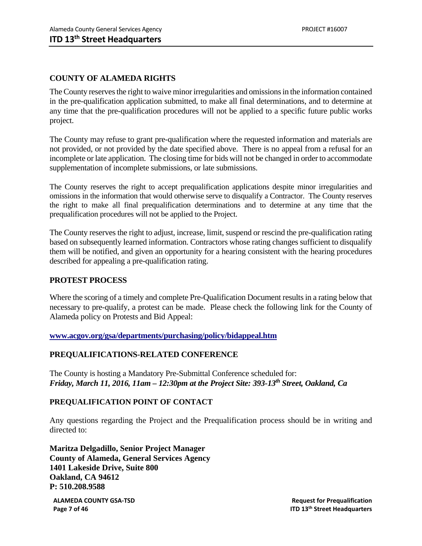### **COUNTY OF ALAMEDA RIGHTS**

The County reserves the right to waive minor irregularities and omissions in the information contained in the pre-qualification application submitted, to make all final determinations, and to determine at any time that the pre-qualification procedures will not be applied to a specific future public works project.

The County may refuse to grant pre-qualification where the requested information and materials are not provided, or not provided by the date specified above. There is no appeal from a refusal for an incomplete or late application. The closing time for bids will not be changed in order to accommodate supplementation of incomplete submissions, or late submissions.

The County reserves the right to accept prequalification applications despite minor irregularities and omissions in the information that would otherwise serve to disqualify a Contractor. The County reserves the right to make all final prequalification determinations and to determine at any time that the prequalification procedures will not be applied to the Project.

The County reserves the right to adjust, increase, limit, suspend or rescind the pre-qualification rating based on subsequently learned information. Contractors whose rating changes sufficient to disqualify them will be notified, and given an opportunity for a hearing consistent with the hearing procedures described for appealing a pre-qualification rating.

### **PROTEST PROCESS**

Where the scoring of a timely and complete Pre-Qualification Document results in a rating below that necessary to pre-qualify, a protest can be made. Please check the following link for the County of Alameda policy on Protests and Bid Appeal:

**www.acgov.org/gsa/departments/purchasing/policy/bidappeal.htm**

### **PREQUALIFICATIONS-RELATED CONFERENCE**

The County is hosting a Mandatory Pre-Submittal Conference scheduled for: *Friday, March 11, 2016, 11am – 12:30pm at the Project Site: 393-13th Street, Oakland, Ca* 

### **PREQUALIFICATION POINT OF CONTACT**

Any questions regarding the Project and the Prequalification process should be in writing and directed to:

**Maritza Delgadillo, Senior Project Manager County of Alameda, General Services Agency 1401 Lakeside Drive, Suite 800 Oakland, CA 94612 P: 510.208.9588** 

**ALAMEDA COUNTY GSA‐TSD Request for Prequalification Page 7 of 46 ITD 13th Street Headquarters**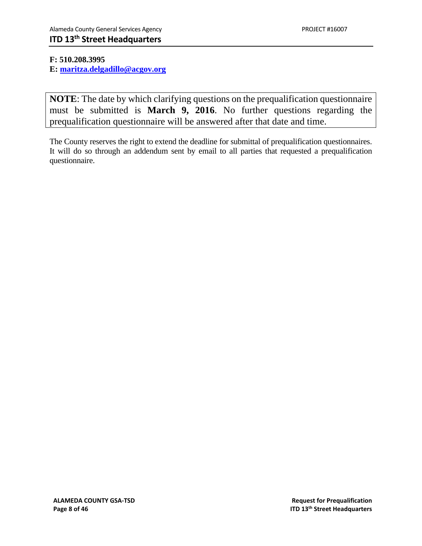### **F: 510.208.3995**

**E: maritza.delgadillo@acgov.org** 

**NOTE**: The date by which clarifying questions on the prequalification questionnaire must be submitted is **March 9, 2016**. No further questions regarding the prequalification questionnaire will be answered after that date and time.

The County reserves the right to extend the deadline for submittal of prequalification questionnaires. It will do so through an addendum sent by email to all parties that requested a prequalification questionnaire.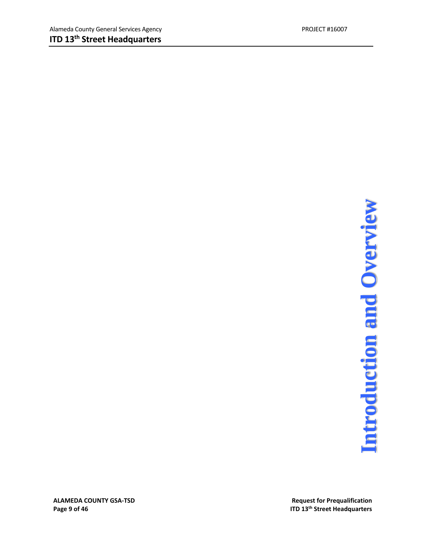# **Page 9 of 46**<br>Page 9 of 46<br>Page 9 of 46<br>ITD 13<sup>th</sup> Street Headquarters

**ALAMEDA COUNTY GSA-TSD**<br> **Page 9 of 46** and **Preduction**<br> **Page 9 of 46** and **Preduction**<br> **Request** for Prequalification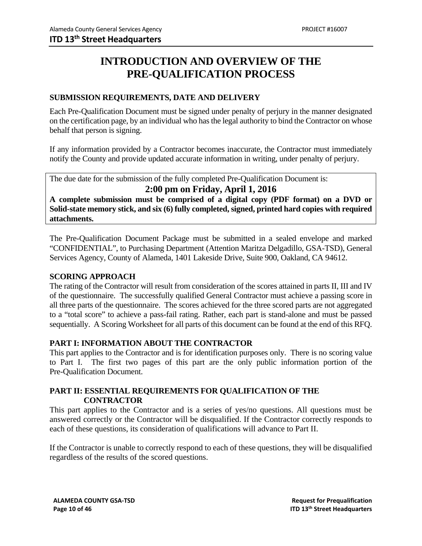### **INTRODUCTION AND OVERVIEW OF THE PRE-QUALIFICATION PROCESS**

### **SUBMISSION REQUIREMENTS, DATE AND DELIVERY**

Each Pre-Qualification Document must be signed under penalty of perjury in the manner designated on the certification page, by an individual who has the legal authority to bind the Contractor on whose behalf that person is signing.

If any information provided by a Contractor becomes inaccurate, the Contractor must immediately notify the County and provide updated accurate information in writing, under penalty of perjury.

The due date for the submission of the fully completed Pre-Qualification Document is:

### **2:00 pm on Friday, April 1, 2016**

**A complete submission must be comprised of a digital copy (PDF format) on a DVD or Solid-state memory stick, and six (6) fully completed, signed, printed hard copies with required attachments.** 

The Pre-Qualification Document Package must be submitted in a sealed envelope and marked "CONFIDENTIAL", to Purchasing Department (Attention Maritza Delgadillo, GSA-TSD), General Services Agency, County of Alameda, 1401 Lakeside Drive, Suite 900, Oakland, CA 94612.

### **SCORING APPROACH**

The rating of the Contractor will result from consideration of the scores attained in parts II, III and IV of the questionnaire. The successfully qualified General Contractor must achieve a passing score in all three parts of the questionnaire. The scores achieved for the three scored parts are not aggregated to a "total score" to achieve a pass-fail rating. Rather, each part is stand-alone and must be passed sequentially. A Scoring Worksheet for all parts of this document can be found at the end of this RFQ.

### **PART I: INFORMATION ABOUT THE CONTRACTOR**

This part applies to the Contractor and is for identification purposes only. There is no scoring value to Part I. The first two pages of this part are the only public information portion of the Pre-Qualification Document.

### **PART II: ESSENTIAL REQUIREMENTS FOR QUALIFICATION OF THE CONTRACTOR**

This part applies to the Contractor and is a series of yes/no questions. All questions must be answered correctly or the Contractor will be disqualified. If the Contractor correctly responds to each of these questions, its consideration of qualifications will advance to Part II.

If the Contractor is unable to correctly respond to each of these questions, they will be disqualified regardless of the results of the scored questions.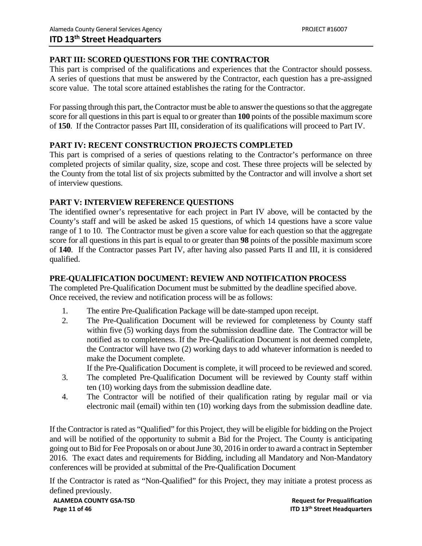### **PART III: SCORED QUESTIONS FOR THE CONTRACTOR**

This part is comprised of the qualifications and experiences that the Contractor should possess. A series of questions that must be answered by the Contractor, each question has a pre-assigned score value. The total score attained establishes the rating for the Contractor.

For passing through this part, the Contractor must be able to answer the questions so that the aggregate score for all questions in this part is equal to or greater than **100** points of the possible maximum score of **150**. If the Contractor passes Part III, consideration of its qualifications will proceed to Part IV.

### **PART IV: RECENT CONSTRUCTION PROJECTS COMPLETED**

This part is comprised of a series of questions relating to the Contractor's performance on three completed projects of similar quality, size, scope and cost. These three projects will be selected by the County from the total list of six projects submitted by the Contractor and will involve a short set of interview questions.

### **PART V: INTERVIEW REFERENCE QUESTIONS**

The identified owner's representative for each project in Part IV above, will be contacted by the County's staff and will be asked be asked 15 questions, of which 14 questions have a score value range of 1 to 10. The Contractor must be given a score value for each question so that the aggregate score for all questions in this part is equal to or greater than **98** points of the possible maximum score of **140**. If the Contractor passes Part IV, after having also passed Parts II and III, it is considered qualified.

### **PRE-QUALIFICATION DOCUMENT: REVIEW AND NOTIFICATION PROCESS**

The completed Pre-Qualification Document must be submitted by the deadline specified above. Once received, the review and notification process will be as follows:

- 1. The entire Pre-Qualification Package will be date-stamped upon receipt.
- 2. The Pre-Qualification Document will be reviewed for completeness by County staff within five (5) working days from the submission deadline date. The Contractor will be notified as to completeness. If the Pre-Qualification Document is not deemed complete, the Contractor will have two (2) working days to add whatever information is needed to make the Document complete.

If the Pre-Qualification Document is complete, it will proceed to be reviewed and scored.

- 3. The completed Pre-Qualification Document will be reviewed by County staff within ten (10) working days from the submission deadline date.
- 4. The Contractor will be notified of their qualification rating by regular mail or via electronic mail (email) within ten (10) working days from the submission deadline date.

If the Contractor is rated as "Qualified" for this Project, they will be eligible for bidding on the Project and will be notified of the opportunity to submit a Bid for the Project. The County is anticipating going out to Bid for Fee Proposals on or about June 30, 2016 in order to award a contract in September 2016. The exact dates and requirements for Bidding, including all Mandatory and Non-Mandatory conferences will be provided at submittal of the Pre-Qualification Document

If the Contractor is rated as "Non-Qualified" for this Project, they may initiate a protest process as defined previously.

**ALAMEDA COUNTY GSA‐TSD Request for Prequalification Page 11 of 46 ITD 13th Street Headquarters**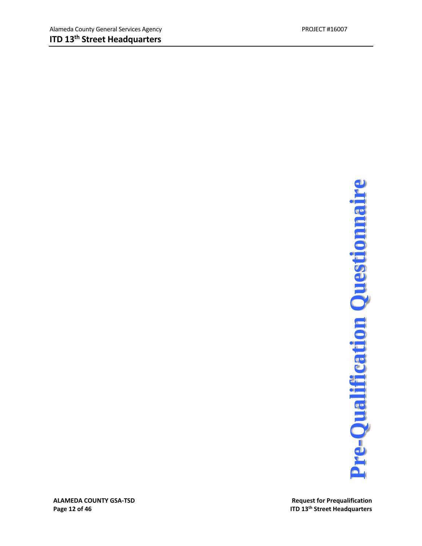**Request for Prequalification ITD 13<sup>th</sup> Street Headquarters** 

**ALAMEDA COUNTY GSA**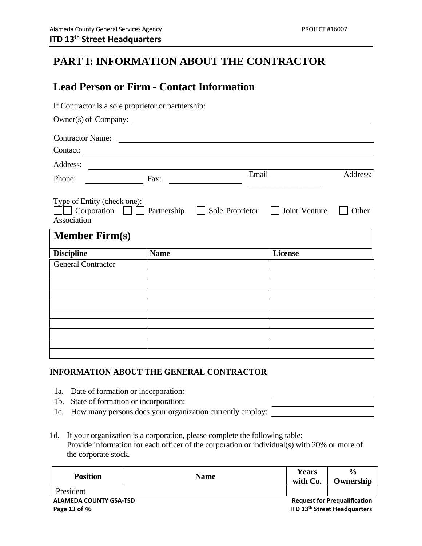### **PART I: INFORMATION ABOUT THE CONTRACTOR**

### **Lead Person or Firm - Contact Information**

| If Contractor is a sole proprietor or partnership:                                         |                                                                                                                        |                        |
|--------------------------------------------------------------------------------------------|------------------------------------------------------------------------------------------------------------------------|------------------------|
|                                                                                            | Owner(s) of Company:                                                                                                   |                        |
| <b>Contractor Name:</b>                                                                    | <u> 1989 - Andrea Station Barbara (h. 1989)</u>                                                                        |                        |
| Contact:                                                                                   | <u> Alexandria de la contrada de la contrada de la contrada de la contrada de la contrada de la contrada de la c</u>   |                        |
| Address:                                                                                   | <u> 1989 - Johann Stoff, deutscher Stoffen und der Stoffen und der Stoffen und der Stoffen und der Stoffen und der</u> |                        |
| Phone:                                                                                     | Email<br>Fax:                                                                                                          | Address:               |
| Type of Entity (check one):<br>$\Box$ Corporation $\Box$ Partnership $\Box$<br>Association | Sole Proprietor $\Box$                                                                                                 | Joint Venture<br>Other |
| <b>Member Firm(s)</b>                                                                      |                                                                                                                        |                        |
| <b>Discipline</b>                                                                          | <b>Name</b>                                                                                                            | License                |
| <b>General Contractor</b>                                                                  |                                                                                                                        |                        |
|                                                                                            |                                                                                                                        |                        |
|                                                                                            |                                                                                                                        |                        |
|                                                                                            |                                                                                                                        |                        |
|                                                                                            |                                                                                                                        |                        |
|                                                                                            |                                                                                                                        |                        |
|                                                                                            |                                                                                                                        |                        |
|                                                                                            |                                                                                                                        |                        |
|                                                                                            |                                                                                                                        |                        |

### **INFORMATION ABOUT THE GENERAL CONTRACTOR**

- 1a. Date of formation or incorporation:
- 1b. State of formation or incorporation:
- 1c. How many persons does your organization currently employ:
- 1d. If your organization is a corporation, please complete the following table: Provide information for each officer of the corporation or individual(s) with 20% or more of the corporate stock.

| <b>Position</b>                          | <b>Name</b> | <b>Years</b><br>with Co. | $\frac{6}{6}$<br>Ownership          |
|------------------------------------------|-------------|--------------------------|-------------------------------------|
| President                                |             |                          |                                     |
| <b>ALAMEDA COUNTY GSA-TSD</b><br>- -- -- |             |                          | <b>Request for Prequalification</b> |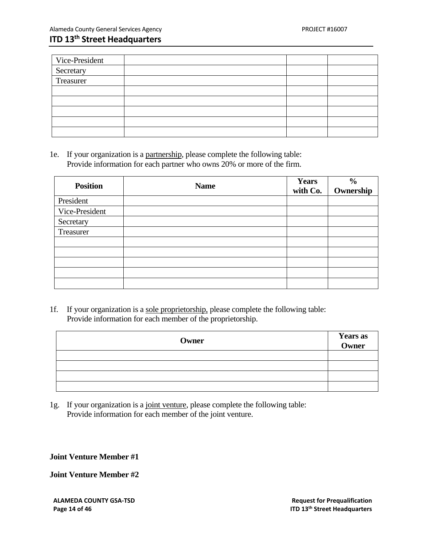| Vice-President |  |  |
|----------------|--|--|
| Secretary      |  |  |
| Treasurer      |  |  |
|                |  |  |
|                |  |  |
|                |  |  |
|                |  |  |
|                |  |  |

1e. If your organization is a partnership, please complete the following table: Provide information for each partner who owns 20% or more of the firm.

| <b>Position</b> | <b>Name</b> | <b>Years</b><br>with Co. | $\frac{6}{6}$<br>Ownership |
|-----------------|-------------|--------------------------|----------------------------|
| President       |             |                          |                            |
| Vice-President  |             |                          |                            |
| Secretary       |             |                          |                            |
| Treasurer       |             |                          |                            |
|                 |             |                          |                            |
|                 |             |                          |                            |
|                 |             |                          |                            |
|                 |             |                          |                            |
|                 |             |                          |                            |

1f. If your organization is a sole proprietorship, please complete the following table: Provide information for each member of the proprietorship.

| Owner | <b>Years as<br/>Owner</b> |
|-------|---------------------------|
|       |                           |
|       |                           |
|       |                           |
|       |                           |

1g. If your organization is a joint venture, please complete the following table: Provide information for each member of the joint venture.

**Joint Venture Member #1** 

**Joint Venture Member #2**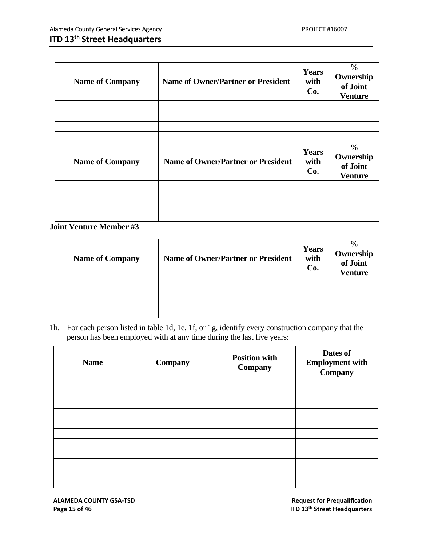| <b>Name of Company</b> | <b>Name of Owner/Partner or President</b> | Years<br>with<br>Co.        | $\frac{6}{6}$<br>Ownership<br>of Joint<br><b>Venture</b> |
|------------------------|-------------------------------------------|-----------------------------|----------------------------------------------------------|
|                        |                                           |                             |                                                          |
| <b>Name of Company</b> | <b>Name of Owner/Partner or President</b> | <b>Years</b><br>with<br>Co. | $\frac{6}{9}$<br>Ownership<br>of Joint<br><b>Venture</b> |
|                        |                                           |                             |                                                          |

**Joint Venture Member #3** 

| <b>Name of Company</b> | <b>Name of Owner/Partner or President</b> | <b>Years</b><br>with<br>Co. | $\frac{6}{9}$<br><b>Ownership</b><br>of Joint<br><b>Venture</b> |
|------------------------|-------------------------------------------|-----------------------------|-----------------------------------------------------------------|
|                        |                                           |                             |                                                                 |
|                        |                                           |                             |                                                                 |
|                        |                                           |                             |                                                                 |
|                        |                                           |                             |                                                                 |

1h. For each person listed in table 1d, 1e, 1f, or 1g, identify every construction company that the person has been employed with at any time during the last five years:

| <b>Name</b> | Company | <b>Position with</b><br>Company | Dates of<br><b>Employment with</b><br>Company |
|-------------|---------|---------------------------------|-----------------------------------------------|
|             |         |                                 |                                               |
|             |         |                                 |                                               |
|             |         |                                 |                                               |
|             |         |                                 |                                               |
|             |         |                                 |                                               |
|             |         |                                 |                                               |
|             |         |                                 |                                               |
|             |         |                                 |                                               |
|             |         |                                 |                                               |
|             |         |                                 |                                               |
|             |         |                                 |                                               |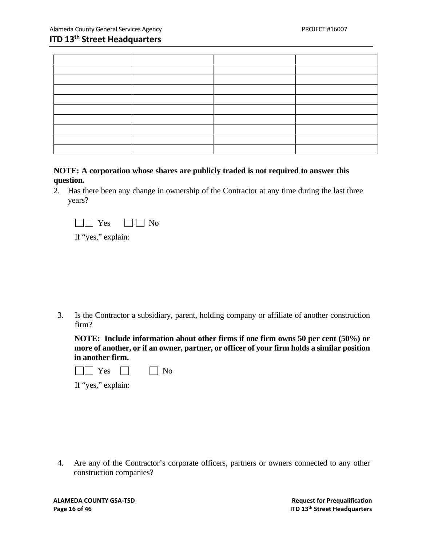| ساد |                                   |
|-----|-----------------------------------|
|     |                                   |
|     |                                   |
|     | the control of the control of the |
|     |                                   |
|     |                                   |
|     |                                   |
|     |                                   |
|     |                                   |

### **NOTE: A corporation whose shares are publicly traded is not required to answer this question.**

2. Has there been any change in ownership of the Contractor at any time during the last three years?



If "yes," explain:

3. Is the Contractor a subsidiary, parent, holding company or affiliate of another construction firm?

**NOTE: Include information about other firms if one firm owns 50 per cent (50%) or more of another, or if an owner, partner, or officer of your firm holds a similar position in another firm.**

|--|--|--|

If "yes," explain:

4. Are any of the Contractor's corporate officers, partners or owners connected to any other construction companies?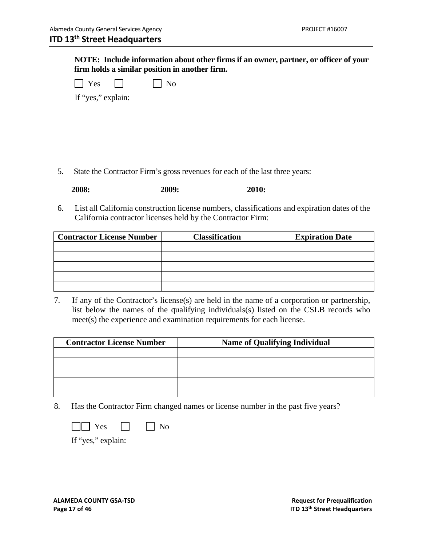**NOTE: Include information about other firms if an owner, partner, or officer of your firm holds a similar position in another firm.** 

| - - |  | $\sim$ |  |  |
|-----|--|--------|--|--|
|-----|--|--------|--|--|

If "yes," explain:

5. State the Contractor Firm's gross revenues for each of the last three years:

| 2008: | 2009: | 2010: |
|-------|-------|-------|
|       |       |       |

6. List all California construction license numbers, classifications and expiration dates of the California contractor licenses held by the Contractor Firm:

| <b>Contractor License Number</b> | <b>Classification</b> | <b>Expiration Date</b> |
|----------------------------------|-----------------------|------------------------|
|                                  |                       |                        |
|                                  |                       |                        |
|                                  |                       |                        |
|                                  |                       |                        |
|                                  |                       |                        |

7. If any of the Contractor's license(s) are held in the name of a corporation or partnership, list below the names of the qualifying individuals(s) listed on the CSLB records who meet(s) the experience and examination requirements for each license.

| <b>Contractor License Number</b> | <b>Name of Qualifying Individual</b> |
|----------------------------------|--------------------------------------|
|                                  |                                      |
|                                  |                                      |
|                                  |                                      |
|                                  |                                      |
|                                  |                                      |

8. Has the Contractor Firm changed names or license number in the past five years?

| ex<br>r |  | NC |
|---------|--|----|
|---------|--|----|

If "yes," explain: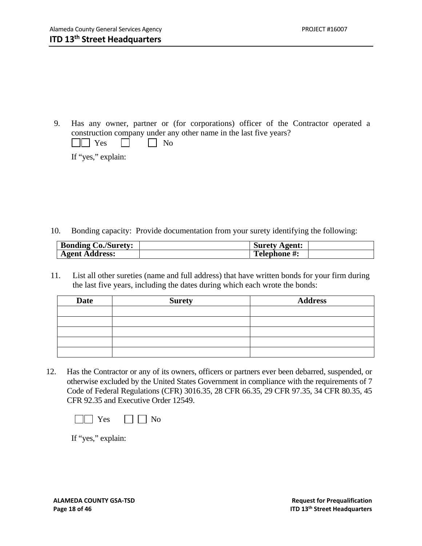9. Has any owner, partner or (for corporations) officer of the Contractor operated a construction company under any other name in the last five years?

| -<br> |  |  |
|-------|--|--|
|-------|--|--|

If "yes," explain:

10. Bonding capacity: Provide documentation from your surety identifying the following:

| <b>Bonding Co./Surety:</b> | <b>Surety Agent:</b> |  |
|----------------------------|----------------------|--|
| <b>Agent Address:</b>      | <b>Telephone #:</b>  |  |

11. List all other sureties (name and full address) that have written bonds for your firm during the last five years, including the dates during which each wrote the bonds:

| <b>Date</b> | <b>Surety</b> | <b>Address</b> |
|-------------|---------------|----------------|
|             |               |                |
|             |               |                |
|             |               |                |
|             |               |                |
|             |               |                |

12. Has the Contractor or any of its owners, officers or partners ever been debarred, suspended, or otherwise excluded by the United States Government in compliance with the requirements of 7 Code of Federal Regulations (CFR) 3016.35, 28 CFR 66.35, 29 CFR 97.35, 34 CFR 80.35, 45 CFR 92.35 and Executive Order 12549.



If "yes," explain: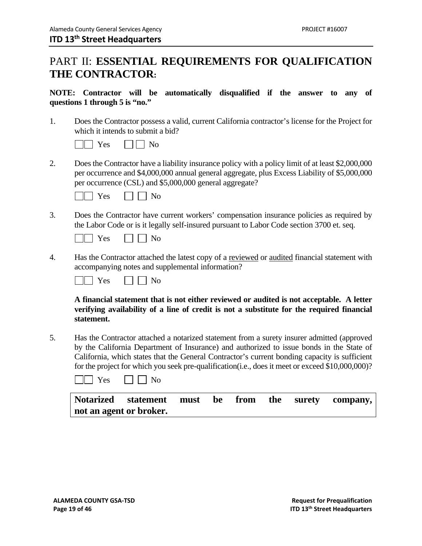### PART II: **ESSENTIAL REQUIREMENTS FOR QUALIFICATION THE CONTRACTOR:**

### **NOTE: Contractor will be automatically disqualified if the answer to any of questions 1 through 5 is "no."**

1. Does the Contractor possess a valid, current California contractor's license for the Project for which it intends to submit a bid?

|  | - - |  |  |  |
|--|-----|--|--|--|
|--|-----|--|--|--|

2. Does the Contractor have a liability insurance policy with a policy limit of at least \$2,000,000 per occurrence and \$4,000,000 annual general aggregate, plus Excess Liability of \$5,000,000 per occurrence (CSL) and \$5,000,000 general aggregate?

| $\sim$<br>- |  |  |
|-------------|--|--|
|-------------|--|--|

3. Does the Contractor have current workers' compensation insurance policies as required by the Labor Code or is it legally self-insured pursuant to Labor Code section 3700 et. seq.

| 'es |  | חצ |
|-----|--|----|
|-----|--|----|

4. Has the Contractor attached the latest copy of a reviewed or audited financial statement with accompanying notes and supplemental information?

|  | $\Omega$<br>73 |  | V |  |
|--|----------------|--|---|--|
|--|----------------|--|---|--|

**A financial statement that is not either reviewed or audited is not acceptable. A letter verifying availability of a line of credit is not a substitute for the required financial statement.** 

5. Has the Contractor attached a notarized statement from a surety insurer admitted (approved by the California Department of Insurance) and authorized to issue bonds in the State of California, which states that the General Contractor's current bonding capacity is sufficient for the project for which you seek pre-qualification(i.e., does it meet or exceed \$10,000,000)?

| ÷ |  |  |
|---|--|--|
|---|--|--|

|                         | Notarized statement must be from the surety company, |  |  |  |
|-------------------------|------------------------------------------------------|--|--|--|
| not an agent or broker. |                                                      |  |  |  |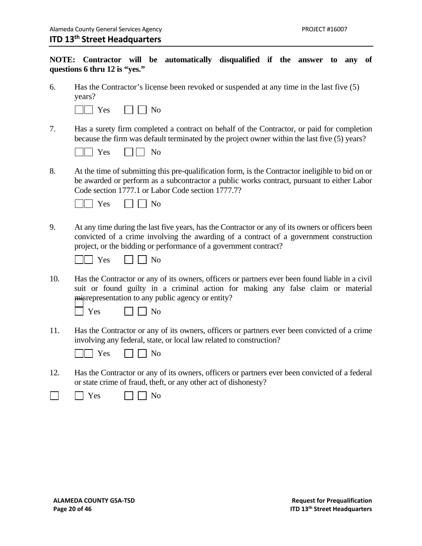### **NOTE: Contractor will be automatically disqualified if the answer to any of questions 6 thru 12 is "yes."**

6. Has the Contractor's license been revoked or suspended at any time in the last five (5) years?

| r es | ง∩ |
|------|----|
|------|----|

7. Has a surety firm completed a contract on behalf of the Contractor, or paid for completion because the firm was default terminated by the project owner within the last five (5) years?

|  | es |  | ง∩ |
|--|----|--|----|
|--|----|--|----|

8. At the time of submitting this pre-qualification form, is the Contractor ineligible to bid on or be awarded or perform as a subcontractor a public works contract, pursuant to either Labor Code section 1777.1 or Labor Code section 1777.7?

|--|--|--|--|--|

9. At any time during the last five years, has the Contractor or any of its owners or officers been convicted of a crime involving the awarding of a contract of a government construction project, or the bidding or performance of a government contract?

|  | $\Omega$<br>-- | vc |
|--|----------------|----|
|--|----------------|----|

10. Has the Contractor or any of its owners, officers or partners ever been found liable in a civil suit or found guilty in a criminal action for making any false claim or material misrepresentation to any public agency or entity?

|  | ~<br>- - |  |  |  |
|--|----------|--|--|--|
|--|----------|--|--|--|

No.

11. Has the Contractor or any of its owners, officers or partners ever been convicted of a crime involving any federal, state, or local law related to construction?



12. Has the Contractor or any of its owners, officers or partners ever been convicted of a federal or state crime of fraud, theft, or any other act of dishonesty?

|  | $\overline{\phantom{0}}$<br><b>PS</b><br>ັັ |  | N۵<br>◡ |
|--|---------------------------------------------|--|---------|
|--|---------------------------------------------|--|---------|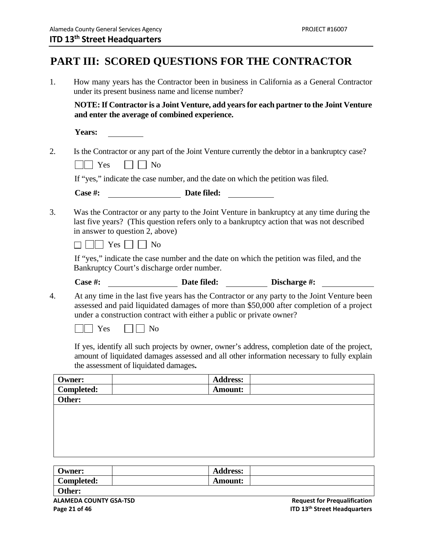### **PART III: SCORED QUESTIONS FOR THE CONTRACTOR**

| 1. |                                                                                                                                                                                                                           | under its present business name and license number?                                                 |                | How many years has the Contractor been in business in California as a General Contractor                                                                                                    |  |
|----|---------------------------------------------------------------------------------------------------------------------------------------------------------------------------------------------------------------------------|-----------------------------------------------------------------------------------------------------|----------------|---------------------------------------------------------------------------------------------------------------------------------------------------------------------------------------------|--|
|    |                                                                                                                                                                                                                           | and enter the average of combined experience.                                                       |                | NOTE: If Contractor is a Joint Venture, add years for each partner to the Joint Venture                                                                                                     |  |
|    | Years:                                                                                                                                                                                                                    |                                                                                                     |                |                                                                                                                                                                                             |  |
| 2. | Yes                                                                                                                                                                                                                       | N <sub>o</sub>                                                                                      |                | Is the Contractor or any part of the Joint Venture currently the debtor in a bankruptcy case?                                                                                               |  |
|    |                                                                                                                                                                                                                           |                                                                                                     |                | If "yes," indicate the case number, and the date on which the petition was filed.                                                                                                           |  |
|    | Case #:                                                                                                                                                                                                                   |                                                                                                     | Date filed:    |                                                                                                                                                                                             |  |
| 3. | Was the Contractor or any party to the Joint Venture in bankruptcy at any time during the<br>last five years? (This question refers only to a bankruptcy action that was not described<br>in answer to question 2, above) |                                                                                                     |                |                                                                                                                                                                                             |  |
|    |                                                                                                                                                                                                                           | $\Box$ Yes $\Box$ No                                                                                |                |                                                                                                                                                                                             |  |
|    |                                                                                                                                                                                                                           | Bankruptcy Court's discharge order number.                                                          |                | If "yes," indicate the case number and the date on which the petition was filed, and the                                                                                                    |  |
|    | Case #:                                                                                                                                                                                                                   |                                                                                                     |                | Date filed: Discharge #:                                                                                                                                                                    |  |
| 4. | $\vert$ Yes                                                                                                                                                                                                               | under a construction contract with either a public or private owner?<br>$\overline{\phantom{a}}$ No |                | At any time in the last five years has the Contractor or any party to the Joint Venture been<br>assessed and paid liquidated damages of more than \$50,000 after completion of a project    |  |
|    |                                                                                                                                                                                                                           | the assessment of liquidated damages.                                                               |                | If yes, identify all such projects by owner, owner's address, completion date of the project,<br>amount of liquidated damages assessed and all other information necessary to fully explain |  |
|    | <b>Owner:</b>                                                                                                                                                                                                             |                                                                                                     | Address:       |                                                                                                                                                                                             |  |
|    | <b>Completed:</b>                                                                                                                                                                                                         |                                                                                                     | <b>Amount:</b> |                                                                                                                                                                                             |  |
|    | Other:                                                                                                                                                                                                                    |                                                                                                     |                |                                                                                                                                                                                             |  |
|    |                                                                                                                                                                                                                           |                                                                                                     |                |                                                                                                                                                                                             |  |
|    |                                                                                                                                                                                                                           |                                                                                                     |                |                                                                                                                                                                                             |  |

| Owner:     | <b>Address:</b> |  |
|------------|-----------------|--|
| Completed: | <b>Amount:</b>  |  |
| Other:     |                 |  |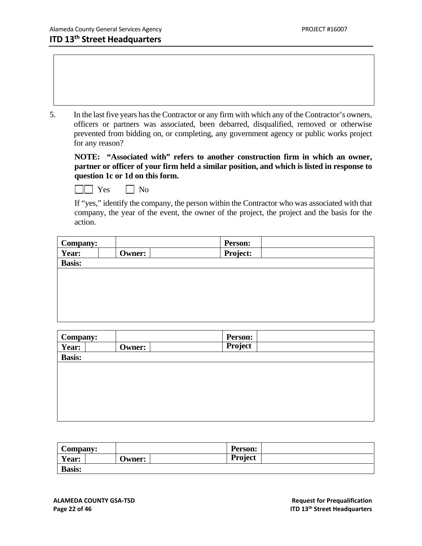5. In the last five years has the Contractor or any firm with which any of the Contractor's owners, officers or partners was associated, been debarred, disqualified, removed or otherwise prevented from bidding on, or completing, any government agency or public works project for any reason?

**NOTE: "Associated with" refers to another construction firm in which an owner, partner or officer of your firm held a similar position, and which is listed in response to question 1c or 1d on this form.**

| ∼ |  |
|---|--|
|---|--|

If "yes," identify the company, the person within the Contractor who was associated with that company, the year of the event, the owner of the project, the project and the basis for the action.

| <b>Company:</b> |               | <b>Person:</b> |  |
|-----------------|---------------|----------------|--|
| Year:           | <b>Owner:</b> | Project:       |  |
| <b>Basis:</b>   |               |                |  |
|                 |               |                |  |
|                 |               |                |  |
|                 |               |                |  |
|                 |               |                |  |
|                 |               |                |  |

| <b>Company:</b> |        | <b>Person:</b> |  |
|-----------------|--------|----------------|--|
| Year:           | Owner: | Project        |  |
| <b>Basis:</b>   |        |                |  |
|                 |        |                |  |
|                 |        |                |  |
|                 |        |                |  |
|                 |        |                |  |
|                 |        |                |  |
|                 |        |                |  |

| Company:      |  |               | <b>Person:</b> |  |
|---------------|--|---------------|----------------|--|
| <b>Year:</b>  |  | <b>Jwner:</b> | <b>Project</b> |  |
| <b>Basis:</b> |  |               |                |  |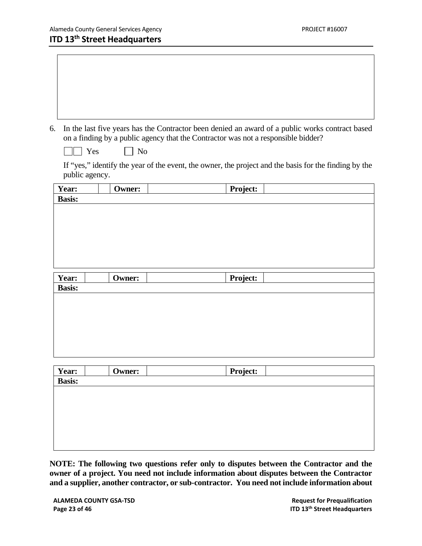6. In the last five years has the Contractor been denied an award of a public works contract based on a finding by a public agency that the Contractor was not a responsible bidder?

| $\sim$<br>νí |  |
|--------------|--|
|--------------|--|

If "yes," identify the year of the event, the owner, the project and the basis for the finding by the public agency.

| Year:         | <b>Owner:</b> | Project: |  |
|---------------|---------------|----------|--|
| <b>Basis:</b> |               |          |  |
|               |               |          |  |
|               |               |          |  |
|               |               |          |  |
|               |               |          |  |
|               |               |          |  |
|               |               |          |  |
|               |               |          |  |
|               |               |          |  |
|               |               |          |  |
| Year:         | <b>Owner:</b> | Project: |  |
| <b>Basis:</b> |               |          |  |
|               |               |          |  |
|               |               |          |  |
|               |               |          |  |
|               |               |          |  |
|               |               |          |  |
|               |               |          |  |

|                 | <b>Owner:</b> | Project: |
|-----------------|---------------|----------|
| Year:<br>Basis: |               |          |
|                 |               |          |
|                 |               |          |
|                 |               |          |
|                 |               |          |
|                 |               |          |
|                 |               |          |
|                 |               |          |

**NOTE: The following two questions refer only to disputes between the Contractor and the owner of a project. You need not include information about disputes between the Contractor and a supplier, another contractor, or sub-contractor. You need not include information about**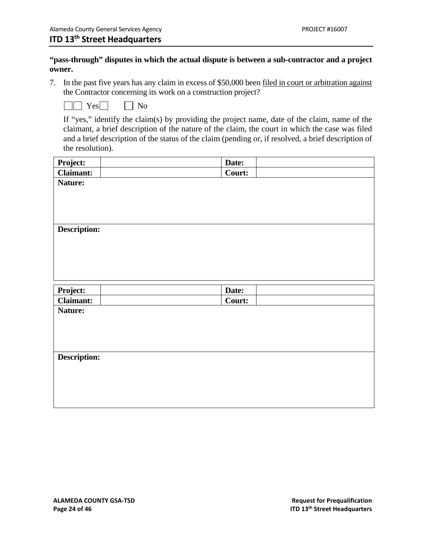### **"pass-through" disputes in which the actual dispute is between a sub-contractor and a project owner.**

7. In the past five years has any claim in excess of \$50,000 been filed in court or arbitration against the Contractor concerning its work on a construction project?

|--|--|

 If "yes," identify the claim(s) by providing the project name, date of the claim, name of the claimant, a brief description of the nature of the claim, the court in which the case was filed and a brief description of the status of the claim (pending or, if resolved, a brief description of the resolution).

| Project:            | Date:  |  |
|---------------------|--------|--|
| <b>Claimant:</b>    | Court: |  |
| Nature:             |        |  |
|                     |        |  |
|                     |        |  |
|                     |        |  |
| <b>Description:</b> |        |  |
|                     |        |  |
|                     |        |  |
|                     |        |  |
|                     |        |  |
|                     |        |  |
| Project:            | Date:  |  |
| <b>Claimant:</b>    | Court: |  |
| Nature:             |        |  |
|                     |        |  |
|                     |        |  |
|                     |        |  |
| <b>Description:</b> |        |  |
|                     |        |  |
|                     |        |  |
|                     |        |  |
|                     |        |  |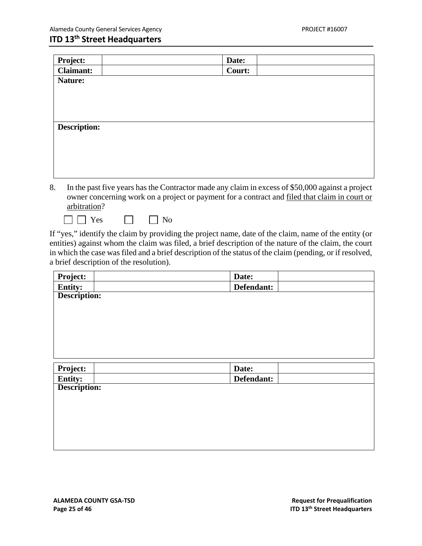| Project:            | Date:  |
|---------------------|--------|
| <b>Claimant:</b>    | Court: |
| Nature:             |        |
|                     |        |
|                     |        |
|                     |        |
| <b>Description:</b> |        |
|                     |        |
|                     |        |
|                     |        |
|                     |        |
|                     |        |

- 8. In the past five years has the Contractor made any claim in excess of \$50,000 against a project owner concerning work on a project or payment for a contract and filed that claim in court or arbitration?
	- $\Box$  Yes  $\Box$  No

If "yes," identify the claim by providing the project name, date of the claim, name of the entity (or entities) against whom the claim was filed, a brief description of the nature of the claim, the court in which the case was filed and a brief description of the status of the claim (pending, or if resolved, a brief description of the resolution).

| Project:     | Date:      |
|--------------|------------|
| Entity:      | Defendant: |
| Description: |            |
|              |            |
|              |            |
|              |            |
|              |            |
|              |            |
|              |            |
| Project:     | Date:      |
| Entity:      | Defendant: |
| Description: |            |
|              |            |
|              |            |
|              |            |
|              |            |
|              |            |
|              |            |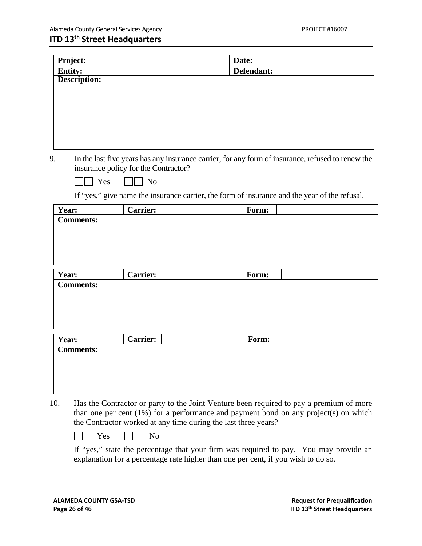| Project:            |                                      | Date:                                                                                             |  |
|---------------------|--------------------------------------|---------------------------------------------------------------------------------------------------|--|
| <b>Entity:</b>      |                                      | Defendant:                                                                                        |  |
| <b>Description:</b> |                                      |                                                                                                   |  |
|                     |                                      |                                                                                                   |  |
|                     |                                      |                                                                                                   |  |
|                     |                                      |                                                                                                   |  |
|                     |                                      |                                                                                                   |  |
|                     |                                      |                                                                                                   |  |
|                     |                                      |                                                                                                   |  |
| 9.                  |                                      | In the last five years has any insurance carrier, for any form of insurance, refused to renew the |  |
|                     | insurance policy for the Contractor? |                                                                                                   |  |
|                     | $\Box$ No                            |                                                                                                   |  |
|                     | $\top$ Yes                           |                                                                                                   |  |
|                     |                                      | If "yes," give name the insurance carrier, the form of insurance and the year of the refusal.     |  |
| Year:               | <b>Carrier:</b>                      | Form:                                                                                             |  |
| <b>Comments:</b>    |                                      |                                                                                                   |  |
|                     |                                      |                                                                                                   |  |
|                     |                                      |                                                                                                   |  |
|                     |                                      |                                                                                                   |  |
|                     |                                      |                                                                                                   |  |
| Year:               | <b>Carrier:</b>                      | Form:                                                                                             |  |
| <b>Comments:</b>    |                                      |                                                                                                   |  |
|                     |                                      |                                                                                                   |  |
|                     |                                      |                                                                                                   |  |
|                     |                                      |                                                                                                   |  |
|                     |                                      |                                                                                                   |  |
| Year:               | <b>Carrier:</b>                      | Form:                                                                                             |  |
| <b>Comments:</b>    |                                      |                                                                                                   |  |
|                     |                                      |                                                                                                   |  |
|                     |                                      |                                                                                                   |  |
|                     |                                      |                                                                                                   |  |
|                     |                                      |                                                                                                   |  |

10. Has the Contractor or party to the Joint Venture been required to pay a premium of more than one per cent (1%) for a performance and payment bond on any project(s) on which the Contractor worked at any time during the last three years?

 $\Box$  Yes  $\Box$  No

 If "yes," state the percentage that your firm was required to pay. You may provide an explanation for a percentage rate higher than one per cent, if you wish to do so.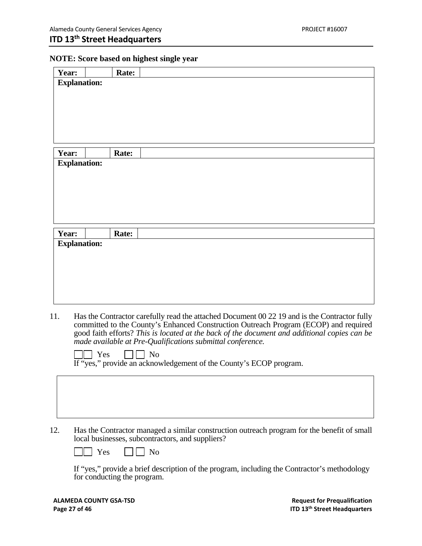### **NOTE: Score based on highest single year**

| Year: |                             | Rate: |                                                                                                                                                                                      |
|-------|-----------------------------|-------|--------------------------------------------------------------------------------------------------------------------------------------------------------------------------------------|
|       | <b>Explanation:</b>         |       |                                                                                                                                                                                      |
|       |                             |       |                                                                                                                                                                                      |
|       |                             |       |                                                                                                                                                                                      |
|       |                             |       |                                                                                                                                                                                      |
|       |                             |       |                                                                                                                                                                                      |
|       |                             |       |                                                                                                                                                                                      |
|       |                             |       |                                                                                                                                                                                      |
| Year: |                             | Rate: |                                                                                                                                                                                      |
|       | <b>Explanation:</b>         |       |                                                                                                                                                                                      |
|       |                             |       |                                                                                                                                                                                      |
|       |                             |       |                                                                                                                                                                                      |
|       |                             |       |                                                                                                                                                                                      |
|       |                             |       |                                                                                                                                                                                      |
|       |                             |       |                                                                                                                                                                                      |
| Year: |                             | Rate: |                                                                                                                                                                                      |
|       | <b>Explanation:</b>         |       |                                                                                                                                                                                      |
|       |                             |       |                                                                                                                                                                                      |
|       |                             |       |                                                                                                                                                                                      |
|       |                             |       |                                                                                                                                                                                      |
|       |                             |       |                                                                                                                                                                                      |
|       |                             |       |                                                                                                                                                                                      |
|       |                             |       |                                                                                                                                                                                      |
| 11.   |                             |       | Has the Contractor carefully read the attached Document 00 22 19 and is the Contractor fully                                                                                         |
|       |                             |       | committed to the County's Enhanced Construction Outreach Program (ECOP) and required<br>good faith efforts? This is located at the back of the document and additional copies can be |
|       |                             |       | made available at Pre-Qualifications submittal conference.                                                                                                                           |
|       | Yes                         |       | N <sub>0</sub>                                                                                                                                                                       |
|       |                             |       | If "yes," provide an acknowledgement of the County's ECOP program.                                                                                                                   |
|       |                             |       |                                                                                                                                                                                      |
|       |                             |       |                                                                                                                                                                                      |
|       |                             |       |                                                                                                                                                                                      |
|       |                             |       |                                                                                                                                                                                      |
|       |                             |       |                                                                                                                                                                                      |
| 12.   |                             |       |                                                                                                                                                                                      |
|       |                             |       | Has the Contractor managed a similar construction outreach program for the benefit of small<br>local businesses, subcontractors, and suppliers?                                      |
|       |                             |       |                                                                                                                                                                                      |
|       | Yes                         |       | N <sub>o</sub>                                                                                                                                                                       |
|       |                             |       | If "yes," provide a brief description of the program, including the Contractor's methodology                                                                                         |
|       | for conducting the program. |       |                                                                                                                                                                                      |
|       |                             |       |                                                                                                                                                                                      |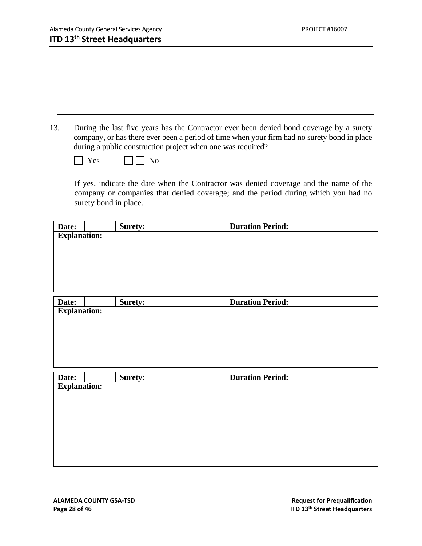13. During the last five years has the Contractor ever been denied bond coverage by a surety company, or has there ever been a period of time when your firm had no surety bond in place during a public construction project when one was required?

| $\overline{\phantom{a}}$<br>v |  |  |
|-------------------------------|--|--|
|-------------------------------|--|--|

YesNo

If yes, indicate the date when the Contractor was denied coverage and the name of the company or companies that denied coverage; and the period during which you had no surety bond in place.

| Date:               | <b>Surety:</b> | <b>Duration Period:</b> |
|---------------------|----------------|-------------------------|
| <b>Explanation:</b> |                |                         |
|                     |                |                         |
|                     |                |                         |
|                     |                |                         |
|                     |                |                         |
|                     |                |                         |
| Date:               | <b>Surety:</b> | <b>Duration Period:</b> |
| <b>Explanation:</b> |                |                         |
|                     |                |                         |

|                    | <b>Surety:</b> | <b>Duration Period:</b> |  |
|--------------------|----------------|-------------------------|--|
| Date: Explanation: |                |                         |  |
|                    |                |                         |  |
|                    |                |                         |  |
|                    |                |                         |  |
|                    |                |                         |  |
|                    |                |                         |  |
|                    |                |                         |  |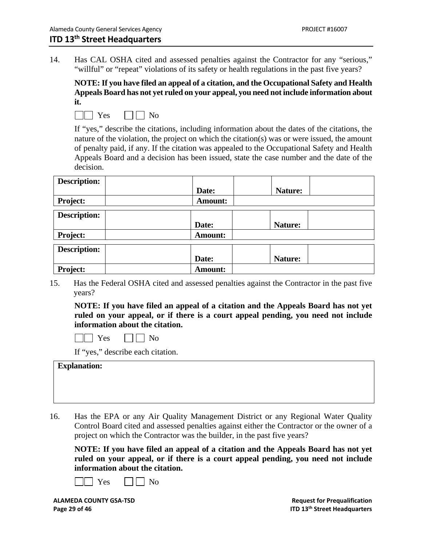14. Has CAL OSHA cited and assessed penalties against the Contractor for any "serious," "willful" or "repeat" violations of its safety or health regulations in the past five years?

**NOTE: If you have filed an appeal of a citation, and the Occupational Safety and Health Appeals Board has not yet ruled on your appeal, you need not include information about it.** 

 $\Box \Box$  Yes  $\Box \Box$  No

If "yes," describe the citations, including information about the dates of the citations, the nature of the violation, the project on which the citation(s) was or were issued, the amount of penalty paid, if any. If the citation was appealed to the Occupational Safety and Health Appeals Board and a decision has been issued, state the case number and the date of the decision.

| <b>Description:</b> |                |         |
|---------------------|----------------|---------|
|                     | Date:          | Nature: |
| <b>Project:</b>     | Amount:        |         |
| <b>Description:</b> |                |         |
|                     | Date:          | Nature: |
| <b>Project:</b>     | <b>Amount:</b> |         |
| <b>Description:</b> |                |         |
|                     | Date:          | Nature: |
| Project:            | <b>Amount:</b> |         |

15. Has the Federal OSHA cited and assessed penalties against the Contractor in the past five years?

**NOTE: If you have filed an appeal of a citation and the Appeals Board has not yet ruled on your appeal, or if there is a court appeal pending, you need not include information about the citation.** 

 $\Box$  Yes  $\Box \Box$  No

If "yes," describe each citation.

16. Has the EPA or any Air Quality Management District or any Regional Water Quality Control Board cited and assessed penalties against either the Contractor or the owner of a project on which the Contractor was the builder, in the past five years?

**NOTE: If you have filed an appeal of a citation and the Appeals Board has not yet ruled on your appeal, or if there is a court appeal pending, you need not include information about the citation.** 



**ALAMEDA COUNTY GSA‐TSD Request for Prequalification**

**Page 29 of 46 ITD 13th Street Headquarters**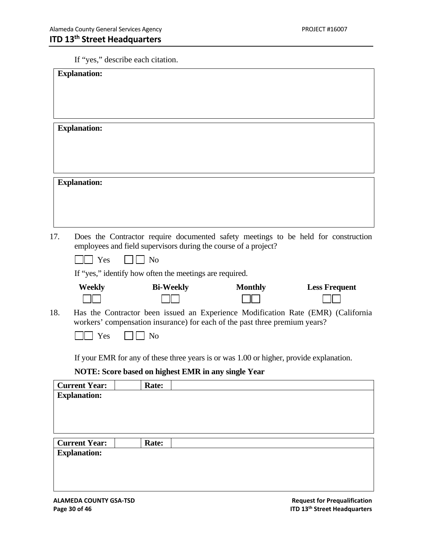### If "yes," describe each citation.

|     | <b>Explanation:</b>                                            |                |                  |                                                                                                                                                                                  |                      |  |
|-----|----------------------------------------------------------------|----------------|------------------|----------------------------------------------------------------------------------------------------------------------------------------------------------------------------------|----------------------|--|
|     | <b>Explanation:</b>                                            |                |                  |                                                                                                                                                                                  |                      |  |
|     | <b>Explanation:</b>                                            |                |                  |                                                                                                                                                                                  |                      |  |
| 17. | Yes<br>If "yes," identify how often the meetings are required. | N <sub>o</sub> |                  | Does the Contractor require documented safety meetings to be held for construction<br>employees and field supervisors during the course of a project?                            |                      |  |
| 18. | <b>Weekly</b><br>Yes                                           | N <sub>o</sub> | <b>Bi-Weekly</b> | <b>Monthly</b><br>Has the Contractor been issued an Experience Modification Rate (EMR) (California<br>workers' compensation insurance) for each of the past three premium years? | <b>Less Frequent</b> |  |
|     | NOTE: Score based on highest EMR in any single Year            |                |                  | If your EMR for any of these three years is or was 1.00 or higher, provide explanation.                                                                                          |                      |  |
|     | <b>Current Year:</b><br><b>Explanation:</b>                    | Rate:          |                  |                                                                                                                                                                                  |                      |  |
|     | <b>Current Year:</b><br><b>Explanation:</b>                    | Rate:          |                  |                                                                                                                                                                                  |                      |  |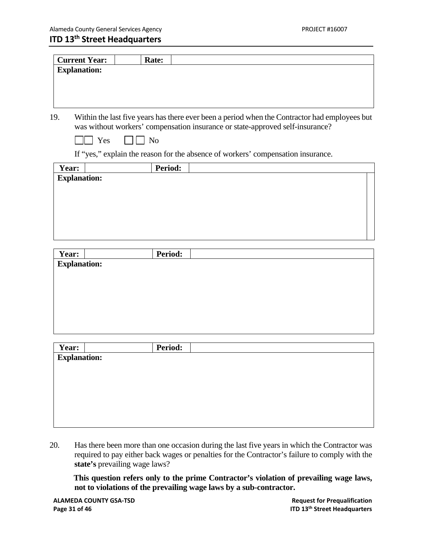| <b>Current Year:</b> |     | Rate:          |                                                                                                                                                                                |
|----------------------|-----|----------------|--------------------------------------------------------------------------------------------------------------------------------------------------------------------------------|
| <b>Explanation:</b>  |     |                |                                                                                                                                                                                |
|                      |     |                |                                                                                                                                                                                |
|                      |     |                |                                                                                                                                                                                |
|                      |     |                |                                                                                                                                                                                |
|                      |     |                |                                                                                                                                                                                |
| 19.                  |     |                | Within the last five years has there ever been a period when the Contractor had employees but<br>was without workers' compensation insurance or state-approved self-insurance? |
|                      | Yes | N <sub>0</sub> |                                                                                                                                                                                |
|                      |     |                | If "yes," explain the reason for the absence of workers' compensation insurance.                                                                                               |
| Year:                |     | Period:        |                                                                                                                                                                                |
| <b>Explanation:</b>  |     |                |                                                                                                                                                                                |
|                      |     |                |                                                                                                                                                                                |
|                      |     |                |                                                                                                                                                                                |
|                      |     |                |                                                                                                                                                                                |
|                      |     |                |                                                                                                                                                                                |
|                      |     |                |                                                                                                                                                                                |
|                      |     |                |                                                                                                                                                                                |
|                      |     |                |                                                                                                                                                                                |
| Year:                |     | Period:        |                                                                                                                                                                                |
| <b>Explanation:</b>  |     |                |                                                                                                                                                                                |

| Period: |  |
|---------|--|
|         |  |
|         |  |
|         |  |
|         |  |
|         |  |
|         |  |
|         |  |
|         |  |

20. Has there been more than one occasion during the last five years in which the Contractor was required to pay either back wages or penalties for the Contractor's failure to comply with the **state's** prevailing wage laws?

**This question refers only to the prime Contractor's violation of prevailing wage laws, not to violations of the prevailing wage laws by a sub-contractor.**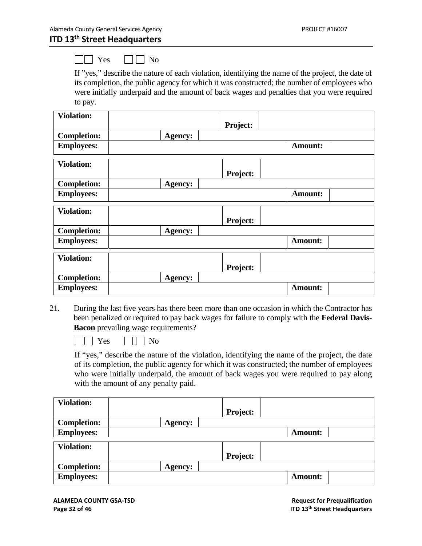$\Box \Box$  Yes  $\Box \Box$  No

 If "yes," describe the nature of each violation, identifying the name of the project, the date of its completion, the public agency for which it was constructed; the number of employees who were initially underpaid and the amount of back wages and penalties that you were required to pay.

| <b>Violation:</b>  |                |                |
|--------------------|----------------|----------------|
|                    | Project:       |                |
| <b>Completion:</b> | <b>Agency:</b> |                |
| <b>Employees:</b>  |                | <b>Amount:</b> |
| <b>Violation:</b>  | Project:       |                |
| <b>Completion:</b> | Agency:        |                |
| <b>Employees:</b>  |                | <b>Amount:</b> |
| <b>Violation:</b>  | Project:       |                |
| <b>Completion:</b> | <b>Agency:</b> |                |
| <b>Employees:</b>  |                | <b>Amount:</b> |
| <b>Violation:</b>  | Project:       |                |
| <b>Completion:</b> | Agency:        |                |
| <b>Employees:</b>  |                | <b>Amount:</b> |

21. During the last five years has there been more than one occasion in which the Contractor has been penalized or required to pay back wages for failure to comply with the **Federal Davis-Bacon** prevailing wage requirements?

 $\Box \Box$  Yes  $\Box \Box$  No

If "yes," describe the nature of the violation, identifying the name of the project, the date of its completion, the public agency for which it was constructed; the number of employees who were initially underpaid, the amount of back wages you were required to pay along with the amount of any penalty paid.

| <b>Violation:</b>  |                 |
|--------------------|-----------------|
|                    | <b>Project:</b> |
| <b>Completion:</b> | <b>Agency:</b>  |
| <b>Employees:</b>  | <b>Amount:</b>  |
| <b>Violation:</b>  |                 |
|                    | <b>Project:</b> |
| <b>Completion:</b> | <b>Agency:</b>  |
| <b>Employees:</b>  | <b>Amount:</b>  |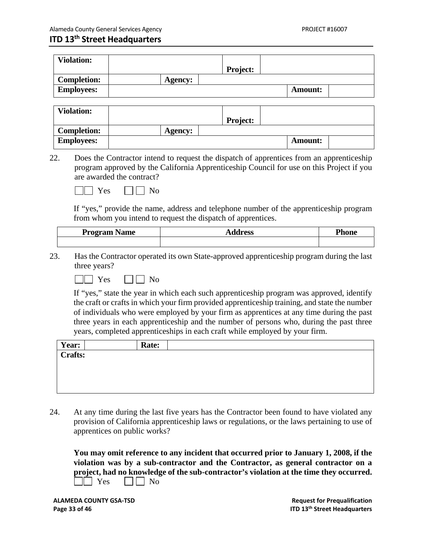| <b>Violation:</b>  |         | <b>Project:</b> |                |  |
|--------------------|---------|-----------------|----------------|--|
| <b>Completion:</b> | Agency: |                 |                |  |
| <b>Employees:</b>  |         |                 | <b>Amount:</b> |  |

| <b>Violation:</b>  |                |                 |                |  |
|--------------------|----------------|-----------------|----------------|--|
|                    |                | <b>Project:</b> |                |  |
| <b>Completion:</b> | <b>Agency:</b> |                 |                |  |
| <b>Employees:</b>  |                |                 | <b>Amount:</b> |  |

22. Does the Contractor intend to request the dispatch of apprentices from an apprenticeship program approved by the California Apprenticeship Council for use on this Project if you are awarded the contract?

| A <sup>c</sup> | N٢ |
|----------------|----|
|----------------|----|

 If "yes," provide the name, address and telephone number of the apprenticeship program from whom you intend to request the dispatch of apprentices.

| <b>Program Name</b> | авоос<br>. 633<br>- 11 | Phone |
|---------------------|------------------------|-------|
|                     |                        |       |

23. Has the Contractor operated its own State-approved apprenticeship program during the last three years?

 $\sqcap$  Yes  $\Box \Box$  No

If "yes," state the year in which each such apprenticeship program was approved, identify the craft or crafts in which your firm provided apprenticeship training, and state the number of individuals who were employed by your firm as apprentices at any time during the past three years in each apprenticeship and the number of persons who, during the past three years, completed apprenticeships in each craft while employed by your firm.

| Year:   | Rate: |  |
|---------|-------|--|
| Crafts: |       |  |
|         |       |  |
|         |       |  |
|         |       |  |
|         |       |  |

24. At any time during the last five years has the Contractor been found to have violated any provision of California apprenticeship laws or regulations, or the laws pertaining to use of apprentices on public works?

**You may omit reference to any incident that occurred prior to January 1, 2008, if the violation was by a sub-contractor and the Contractor, as general contractor on a project, had no knowledge of the sub-contractor's violation at the time they occurred.**   $\Box$  Yes  $\Box$  No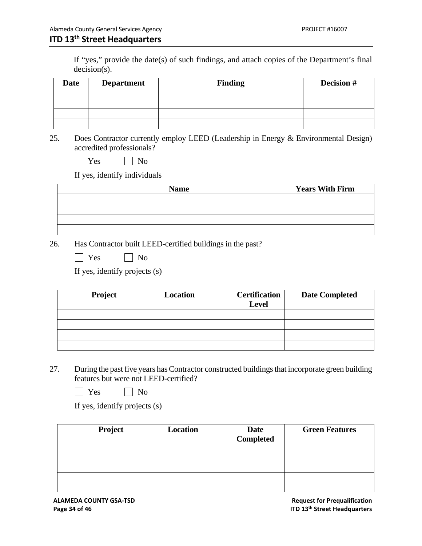If "yes," provide the date(s) of such findings, and attach copies of the Department's final decision(s).

| <b>Date</b> | <b>Department</b> | <b>Finding</b> | Decision # |
|-------------|-------------------|----------------|------------|
|             |                   |                |            |
|             |                   |                |            |
|             |                   |                |            |
|             |                   |                |            |

25. Does Contractor currently employ LEED (Leadership in Energy & Environmental Design) accredited professionals?

| eс | ∖օ<br>ľ |
|----|---------|
|    |         |

If yes, identify individuals

| <b>Name</b> | <b>Years With Firm</b> |
|-------------|------------------------|
|             |                        |
|             |                        |
|             |                        |
|             |                        |

26. Has Contractor built LEED-certified buildings in the past?

| эç | $N_{\Omega}$ |
|----|--------------|
|    |              |

If yes, identify projects (s)

| Project | <b>Location</b> | <b>Certification</b><br><b>Level</b> | <b>Date Completed</b> |
|---------|-----------------|--------------------------------------|-----------------------|
|         |                 |                                      |                       |
|         |                 |                                      |                       |
|         |                 |                                      |                       |
|         |                 |                                      |                       |

- 27. During the past five years has Contractor constructed buildings that incorporate green building features but were not LEED-certified?
	- $\Box$  Yes  $\Box$  No

If yes, identify projects (s)

| Project | <b>Location</b> | Date<br><b>Completed</b> | <b>Green Features</b> |
|---------|-----------------|--------------------------|-----------------------|
|         |                 |                          |                       |
|         |                 |                          |                       |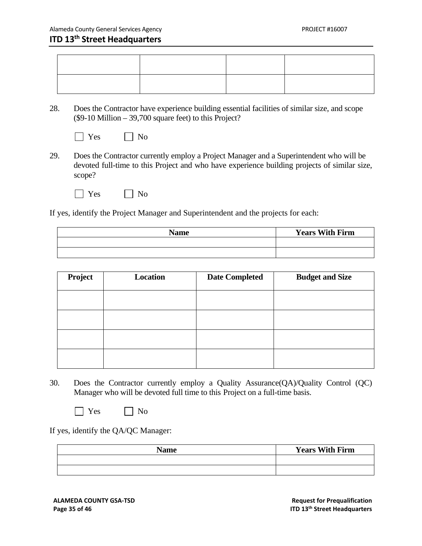28. Does the Contractor have experience building essential facilities of similar size, and scope (\$9-10 Million – 39,700 square feet) to this Project?

|  | ง∩ |
|--|----|
|--|----|

- 29. Does the Contractor currently employ a Project Manager and a Superintendent who will be devoted full-time to this Project and who have experience building projects of similar size, scope?
	- $\bigcap$  Yes  $\bigcap$  No

If yes, identify the Project Manager and Superintendent and the projects for each:

| <b>Name</b> | <b>Years With Firm</b> |
|-------------|------------------------|
|             |                        |
|             |                        |

| Project | Location | <b>Date Completed</b> | <b>Budget and Size</b> |
|---------|----------|-----------------------|------------------------|
|         |          |                       |                        |
|         |          |                       |                        |
|         |          |                       |                        |
|         |          |                       |                        |
|         |          |                       |                        |

30. Does the Contractor currently employ a Quality Assurance(QA)/Quality Control (QC) Manager who will be devoted full time to this Project on a full-time basis.

No No

If yes, identify the QA/QC Manager:

| <b>Name</b> | <b>Years With Firm</b> |
|-------------|------------------------|
|             |                        |
|             |                        |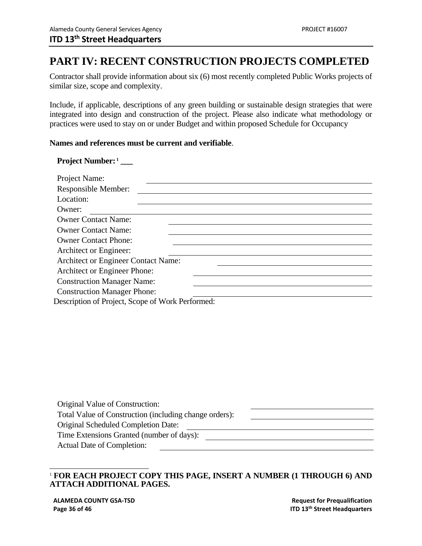### **PART IV: RECENT CONSTRUCTION PROJECTS COMPLETED**

 Contractor shall provide information about six (6) most recently completed Public Works projects of similar size, scope and complexity.

 Include, if applicable, descriptions of any green building or sustainable design strategies that were integrated into design and construction of the project. Please also indicate what methodology or practices were used to stay on or under Budget and within proposed Schedule for Occupancy

### **Names and references must be current and verifiable**.

### Project Number:<sup>1</sup>

| Project Name:                                    |
|--------------------------------------------------|
| Responsible Member:                              |
| Location:                                        |
| Owner:                                           |
| <b>Owner Contact Name:</b>                       |
| <b>Owner Contact Name:</b>                       |
| <b>Owner Contact Phone:</b>                      |
| Architect or Engineer:                           |
| <b>Architect or Engineer Contact Name:</b>       |
| Architect or Engineer Phone:                     |
| <b>Construction Manager Name:</b>                |
| <b>Construction Manager Phone:</b>               |
| Description of Project, Scope of Work Performed: |

| Original Value of Construction:                        |  |
|--------------------------------------------------------|--|
| Total Value of Construction (including change orders): |  |
| <b>Original Scheduled Completion Date:</b>             |  |
| Time Extensions Granted (number of days):              |  |
| Actual Date of Completion:                             |  |

### $\overline{a}$ <sup>1</sup> **FOR EACH PROJECT COPY THIS PAGE, INSERT A NUMBER (1 THROUGH 6) AND ATTACH ADDITIONAL PAGES.**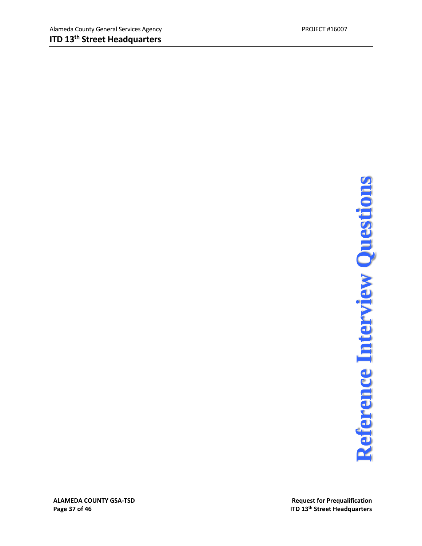# **Page 37** of **46**<br>**Page 37** of **46**<br>**Page 37** of 46<br>**ITD** 13<sup>th</sup> Street Headquarters<br>**REFERENCE INTERVIEW QUESTIONS**

**ALAMEDA COUNTY GSA**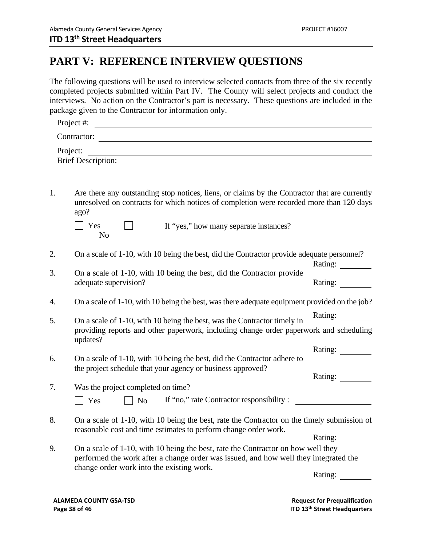### **PART V: REFERENCE INTERVIEW QUESTIONS**

The following questions will be used to interview selected contacts from three of the six recently completed projects submitted within Part IV. The County will select projects and conduct the interviews. No action on the Contractor's part is necessary. These questions are included in the package given to the Contractor for information only.

| Project #:                |  |  |
|---------------------------|--|--|
| Contractor:               |  |  |
| Project:                  |  |  |
| <b>Brief Description:</b> |  |  |

1. Are there any outstanding stop notices, liens, or claims by the Contractor that are currently unresolved on contracts for which notices of completion were recorded more than 120 days ago?

| $\vert$ Yes | If "yes," how many separate instances? |  |
|-------------|----------------------------------------|--|
| NG          |                                        |  |

2. On a scale of 1-10, with 10 being the best, did the Contractor provide adequate personnel?

| On a scale of 1-10, with 10 being the best, did the Contractor provide |         |
|------------------------------------------------------------------------|---------|
| adequate supervision?                                                  | Rating: |

- 4. On a scale of 1-10, with 10 being the best, was there adequate equipment provided on the job?
- 5. On a scale of 1-10, with 10 being the best, was the Contractor timely in providing reports and other paperwork, including change order paperwork and scheduling updates? Rating:
- 6. On a scale of 1-10, with 10 being the best, did the Contractor adhere to the project schedule that your agency or business approved? Rating: Rating:
- 7. Was the project completed on time?  $\Box$  Yes  $\Box$  No 8. On a scale of 1-10, with 10 being the best, rate the Contractor on the timely submission of reasonable cost and time estimates to perform change order work. If "no," rate Contractor responsibility : Rating:
- 9. On a scale of 1-10, with 10 being the best, rate the Contractor on how well they performed the work after a change order was issued, and how well they integrated the change order work into the existing work.

Rating:

Rating:

**ALAMEDA COUNTY GSA‐TSD Request for Prequalification Page 38 of 46 ITD 13th Street Headquarters**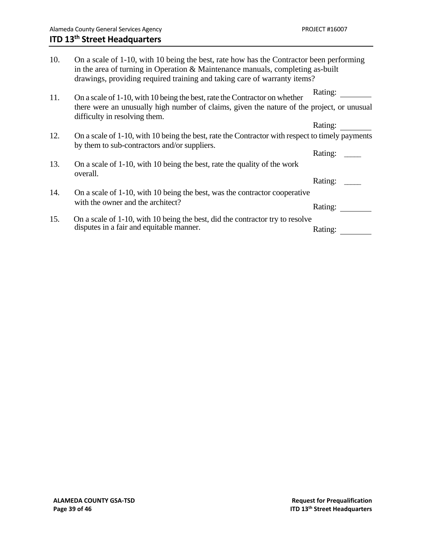| 10. | On a scale of 1-10, with 10 being the best, rate how has the Contractor been performing<br>in the area of turning in Operation & Maintenance manuals, completing as-built<br>drawings, providing required training and taking care of warranty items? |         |
|-----|-------------------------------------------------------------------------------------------------------------------------------------------------------------------------------------------------------------------------------------------------------|---------|
| 11. | On a scale of 1-10, with 10 being the best, rate the Contractor on whether                                                                                                                                                                            | Rating: |
|     | there were an unusually high number of claims, given the nature of the project, or unusual<br>difficulty in resolving them.                                                                                                                           |         |
|     |                                                                                                                                                                                                                                                       | Rating: |
| 12. | On a scale of 1-10, with 10 being the best, rate the Contractor with respect to timely payments<br>by them to sub-contractors and/or suppliers.                                                                                                       |         |
|     |                                                                                                                                                                                                                                                       | Rating: |
| 13. | On a scale of 1-10, with 10 being the best, rate the quality of the work<br>overall.                                                                                                                                                                  |         |
|     |                                                                                                                                                                                                                                                       | Rating: |
| 14. | On a scale of 1-10, with 10 being the best, was the contractor cooperative                                                                                                                                                                            |         |
|     | with the owner and the architect?                                                                                                                                                                                                                     | Rating: |
| 15. | On a scale of 1-10, with 10 being the best, did the contractor try to resolve                                                                                                                                                                         |         |
|     | disputes in a fair and equitable manner.                                                                                                                                                                                                              | Rating: |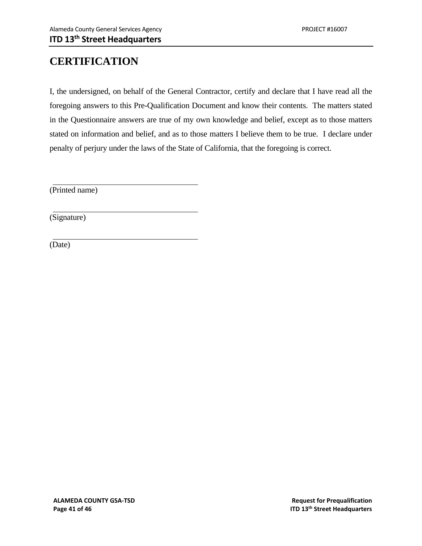### **CERTIFICATION**

I, the undersigned, on behalf of the General Contractor, certify and declare that I have read all the foregoing answers to this Pre-Qualification Document and know their contents. The matters stated in the Questionnaire answers are true of my own knowledge and belief, except as to those matters stated on information and belief, and as to those matters I believe them to be true. I declare under penalty of perjury under the laws of the State of California, that the foregoing is correct.

(Printed name)

(Signature)

(Date)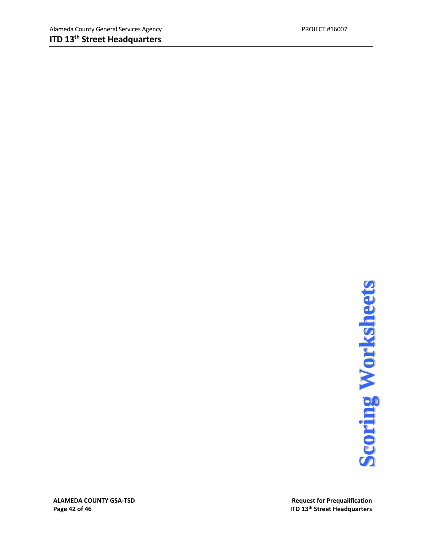**ALAMEDA COUNTY GSA-TSD**<br> **Page 42 of 46**<br> **Page 42 of 46**<br> **Page 42 of 46**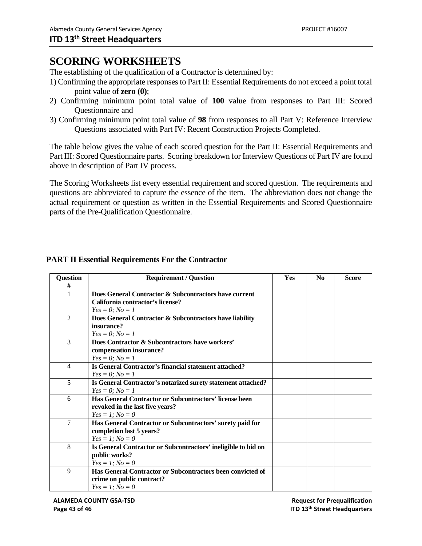### **SCORING WORKSHEETS**

The establishing of the qualification of a Contractor is determined by:

- 1) Confirming the appropriate responses to Part II: Essential Requirements do not exceed a point total point value of **zero (0)**;
- 2) Confirming minimum point total value of **100** value from responses to Part III: Scored Questionnaire and
- 3) Confirming minimum point total value of **98** from responses to all Part V: Reference Interview Questions associated with Part IV: Recent Construction Projects Completed.

The table below gives the value of each scored question for the Part II: Essential Requirements and Part III: Scored Questionnaire parts. Scoring breakdown for Interview Questions of Part IV are found above in description of Part IV process.

The Scoring Worksheets list every essential requirement and scored question. The requirements and questions are abbreviated to capture the essence of the item. The abbreviation does not change the actual requirement or question as written in the Essential Requirements and Scored Questionnaire parts of the Pre-Qualification Questionnaire.

| <b>Question</b> | <b>Requirement / Question</b>                                 | <b>Yes</b> | $\mathbf{N}\mathbf{0}$ | <b>Score</b> |
|-----------------|---------------------------------------------------------------|------------|------------------------|--------------|
| #               |                                                               |            |                        |              |
| 1               | Does General Contractor & Subcontractors have current         |            |                        |              |
|                 | California contractor's license?                              |            |                        |              |
|                 | $Yes = 0; No = 1$                                             |            |                        |              |
| $\mathfrak{D}$  | Does General Contractor & Subcontractors have liability       |            |                        |              |
|                 | insurance?                                                    |            |                        |              |
|                 | $Yes = 0; No = 1$                                             |            |                        |              |
| 3               | Does Contractor & Subcontractors have workers'                |            |                        |              |
|                 | compensation insurance?                                       |            |                        |              |
|                 | $Yes = 0; No = 1$                                             |            |                        |              |
| $\overline{4}$  | Is General Contractor's financial statement attached?         |            |                        |              |
|                 | $Yes = 0; No = 1$                                             |            |                        |              |
| 5               | Is General Contractor's notarized surety statement attached?  |            |                        |              |
|                 | $Yes = 0; No = 1$                                             |            |                        |              |
| 6               | Has General Contractor or Subcontractors' license been        |            |                        |              |
|                 | revoked in the last five years?                               |            |                        |              |
|                 | $Yes = 1; No = 0$                                             |            |                        |              |
| $\tau$          | Has General Contractor or Subcontractors' surety paid for     |            |                        |              |
|                 | completion last 5 years?                                      |            |                        |              |
|                 | $Yes = 1; No = 0$                                             |            |                        |              |
| 8               | Is General Contractor or Subcontractors' ineligible to bid on |            |                        |              |
|                 | public works?                                                 |            |                        |              |
|                 | $Yes = 1; No = 0$                                             |            |                        |              |
| $\mathbf{Q}$    | Has General Contractor or Subcontractors been convicted of    |            |                        |              |
|                 | crime on public contract?                                     |            |                        |              |
|                 | $Yes = 1; No = 0$                                             |            |                        |              |

### **PART II Essential Requirements For the Contractor**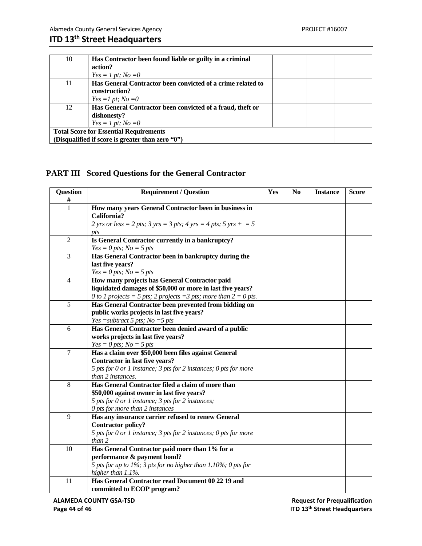| 10                                            | Has Contractor been found liable or guilty in a criminal    |  |  |
|-----------------------------------------------|-------------------------------------------------------------|--|--|
|                                               | action?                                                     |  |  |
|                                               | $Yes = 1 pt; No = 0$                                        |  |  |
| 11                                            | Has General Contractor been convicted of a crime related to |  |  |
|                                               | construction?                                               |  |  |
|                                               | $Yes = 1 pt; No = 0$                                        |  |  |
| 12                                            | Has General Contractor been convicted of a fraud, theft or  |  |  |
|                                               | dishonesty?                                                 |  |  |
|                                               | $Yes = 1 pt; No = 0$                                        |  |  |
| <b>Total Score for Essential Requirements</b> |                                                             |  |  |
|                                               | (Disqualified if score is greater than zero "0")            |  |  |

### **PART III Scored Questions for the General Contractor**

| <b>Question</b><br># | <b>Requirement / Question</b>                                                                                                                                                           | Yes | N <sub>0</sub> | <b>Instance</b> | <b>Score</b> |
|----------------------|-----------------------------------------------------------------------------------------------------------------------------------------------------------------------------------------|-----|----------------|-----------------|--------------|
| $\mathbf{1}$         | How many years General Contractor been in business in<br>California?                                                                                                                    |     |                |                 |              |
|                      | 2 yrs or less = 2 pts; 3 yrs = 3 pts; 4 yrs = 4 pts; 5 yrs + = 5<br>pts                                                                                                                 |     |                |                 |              |
| $\overline{2}$       | Is General Contractor currently in a bankruptcy?<br>$Yes = 0 pts; No = 5 pts$                                                                                                           |     |                |                 |              |
| 3                    | Has General Contractor been in bankruptcy during the<br>last five years?<br>$Yes = 0 pts; No = 5 pts$                                                                                   |     |                |                 |              |
| $\overline{4}$       | How many projects has General Contractor paid<br>liquidated damages of \$50,000 or more in last five years?<br>0 to 1 projects = 5 pts; 2 projects = 3 pts; more than $2 = 0$ pts.      |     |                |                 |              |
| 5                    | Has General Contractor been prevented from bidding on<br>public works projects in last five years?<br>Yes = subtract 5 pts; $No = 5$ pts                                                |     |                |                 |              |
| 6                    | Has General Contractor been denied award of a public<br>works projects in last five years?<br>$Yes = 0 pts; No = 5 pts$                                                                 |     |                |                 |              |
| $\overline{7}$       | Has a claim over \$50,000 been files against General<br>Contractor in last five years?<br>5 pts for 0 or 1 instance; 3 pts for 2 instances; 0 pts for more<br>than 2 instances.         |     |                |                 |              |
| 8                    | Has General Contractor filed a claim of more than<br>\$50,000 against owner in last five years?<br>5 pts for 0 or 1 instance; 3 pts for 2 instances;<br>0 pts for more than 2 instances |     |                |                 |              |
| 9                    | Has any insurance carrier refused to renew General<br><b>Contractor policy?</b><br>5 pts for 0 or 1 instance; 3 pts for 2 instances; 0 pts for more<br>than 2                           |     |                |                 |              |
| 10                   | Has General Contractor paid more than 1% for a<br>performance & payment bond?<br>5 pts for up to 1%; 3 pts for no higher than 1.10%; 0 pts for<br>higher than 1.1%.                     |     |                |                 |              |
| 11                   | Has General Contractor read Document 00 22 19 and<br>committed to ECOP program?                                                                                                         |     |                |                 |              |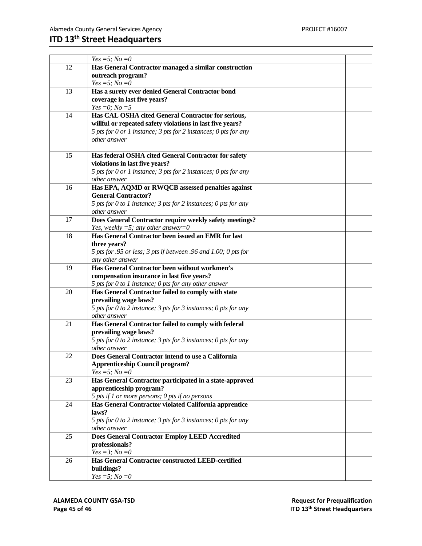|    | $Yes = 5; No = 0$                                                                                        |  |  |
|----|----------------------------------------------------------------------------------------------------------|--|--|
| 12 | Has General Contractor managed a similar construction                                                    |  |  |
|    | outreach program?                                                                                        |  |  |
|    | Yes =5; $No = 0$                                                                                         |  |  |
| 13 | Has a surety ever denied General Contractor bond                                                         |  |  |
|    | coverage in last five years?                                                                             |  |  |
|    | $Yes = 0; No = 5$                                                                                        |  |  |
| 14 | Has CAL OSHA cited General Contractor for serious,                                                       |  |  |
|    | willful or repeated safety violations in last five years?                                                |  |  |
|    | 5 pts for 0 or 1 instance; 3 pts for 2 instances; 0 pts for any                                          |  |  |
|    | other answer                                                                                             |  |  |
|    |                                                                                                          |  |  |
| 15 | Has federal OSHA cited General Contractor for safety                                                     |  |  |
|    | violations in last five years?                                                                           |  |  |
|    | 5 pts for 0 or 1 instance; 3 pts for 2 instances; 0 pts for any                                          |  |  |
|    | other answer                                                                                             |  |  |
| 16 | Has EPA, AQMD or RWQCB assessed penalties against                                                        |  |  |
|    | <b>General Contractor?</b>                                                                               |  |  |
|    | 5 pts for 0 to 1 instance; 3 pts for 2 instances; 0 pts for any                                          |  |  |
|    | other answer                                                                                             |  |  |
| 17 | Does General Contractor require weekly safety meetings?                                                  |  |  |
|    | Yes, weekly =5; any other answer=0                                                                       |  |  |
| 18 | Has General Contractor been issued an EMR for last                                                       |  |  |
|    | three years?                                                                                             |  |  |
|    | 5 pts for .95 or less; 3 pts if between .96 and 1.00; 0 pts for                                          |  |  |
|    | any other answer                                                                                         |  |  |
| 19 | Has General Contractor been without workmen's                                                            |  |  |
|    | compensation insurance in last five years?                                                               |  |  |
|    | 5 pts for 0 to 1 instance; 0 pts for any other answer                                                    |  |  |
| 20 | Has General Contractor failed to comply with state                                                       |  |  |
|    | prevailing wage laws?                                                                                    |  |  |
|    | 5 pts for 0 to 2 instance; 3 pts for 3 instances; 0 pts for any                                          |  |  |
|    | other answer                                                                                             |  |  |
| 21 | Has General Contractor failed to comply with federal                                                     |  |  |
|    | prevailing wage laws?                                                                                    |  |  |
|    | 5 pts for 0 to 2 instance; 3 pts for 3 instances; 0 pts for any                                          |  |  |
|    | other answer                                                                                             |  |  |
| 22 | Does General Contractor intend to use a California                                                       |  |  |
|    | <b>Apprenticeship Council program?</b>                                                                   |  |  |
|    | $Yes = 5; No = 0$                                                                                        |  |  |
| 23 | Has General Contractor participated in a state-approved                                                  |  |  |
|    | apprenticeship program?                                                                                  |  |  |
| 24 | 5 pts if 1 or more persons; 0 pts if no persons<br>Has General Contractor violated California apprentice |  |  |
|    | laws?                                                                                                    |  |  |
|    | 5 pts for 0 to 2 instance; 3 pts for 3 instances; 0 pts for any                                          |  |  |
|    | other answer                                                                                             |  |  |
| 25 | <b>Does General Contractor Employ LEED Accredited</b>                                                    |  |  |
|    | professionals?                                                                                           |  |  |
|    | $Yes = 3; No = 0$                                                                                        |  |  |
| 26 | Has General Contractor constructed LEED-certified                                                        |  |  |
|    | buildings?                                                                                               |  |  |
|    | <i>Yes</i> = 5; <i>No</i> = 0                                                                            |  |  |
|    |                                                                                                          |  |  |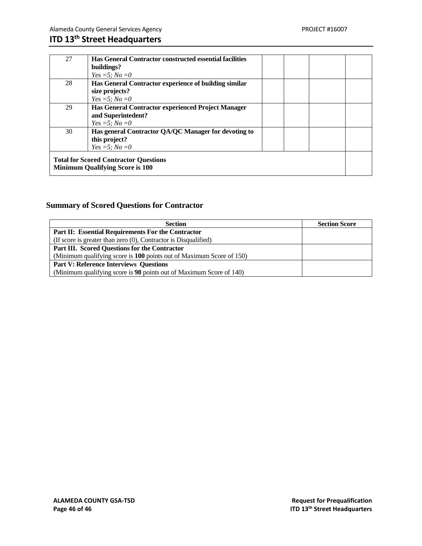| 27 | <b>Has General Contractor constructed essential facilities</b>                         |  |  |
|----|----------------------------------------------------------------------------------------|--|--|
|    | buildings?                                                                             |  |  |
|    | $Yes = 5; No = 0$                                                                      |  |  |
| 28 | Has General Contractor experience of building similar                                  |  |  |
|    | size projects?                                                                         |  |  |
|    | <i>Yes</i> = 5; <i>No</i> = 0                                                          |  |  |
| 29 | Has General Contractor experienced Project Manager                                     |  |  |
|    | and Superintedent?                                                                     |  |  |
|    | <i>Yes</i> = 5; <i>No</i> = 0                                                          |  |  |
| 30 | Has general Contractor QA/QC Manager for devoting to                                   |  |  |
|    | this project?                                                                          |  |  |
|    | <i>Yes</i> = 5; <i>No</i> = 0                                                          |  |  |
|    | <b>Total for Scored Contractor Questions</b><br><b>Minimum Qualifying Score is 100</b> |  |  |
|    |                                                                                        |  |  |

### **Summary of Scored Questions for Contractor**

| <b>Section</b>                                                       | <b>Section Score</b> |
|----------------------------------------------------------------------|----------------------|
| Part II: Essential Requirements For the Contractor                   |                      |
| (If score is greater than zero $(0)$ , Contractor is Disqualified)   |                      |
| Part III. Scored Questions for the Contractor                        |                      |
| (Minimum qualifying score is 100 points out of Maximum Score of 150) |                      |
| <b>Part V: Reference Interviews Questions</b>                        |                      |
| (Minimum qualifying score is 98 points out of Maximum Score of 140)  |                      |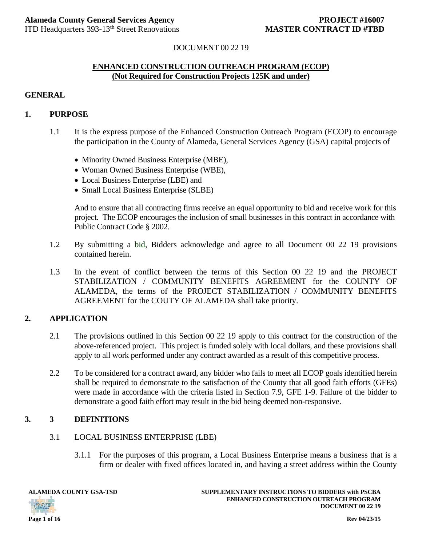### DOCUMENT 00 22 19

### **ENHANCED CONSTRUCTION OUTREACH PROGRAM (ECOP) (Not Required for Construction Projects 125K and under)**

### **GENERAL**

### **1. PURPOSE**

- 1.1 It is the express purpose of the Enhanced Construction Outreach Program (ECOP) to encourage the participation in the County of Alameda, General Services Agency (GSA) capital projects of
	- Minority Owned Business Enterprise (MBE),
	- Woman Owned Business Enterprise (WBE),
	- Local Business Enterprise (LBE) and
	- Small Local Business Enterprise (SLBE)

And to ensure that all contracting firms receive an equal opportunity to bid and receive work for this project. The ECOP encourages the inclusion of small businesses in this contract in accordance with Public Contract Code § 2002.

- 1.2 By submitting a bid, Bidders acknowledge and agree to all Document 00 22 19 provisions contained herein.
- 1.3 In the event of conflict between the terms of this Section 00 22 19 and the PROJECT STABILIZATION / COMMUNITY BENEFITS AGREEMENT for the COUNTY OF ALAMEDA, the terms of the PROJECT STABILIZATION / COMMUNITY BENEFITS AGREEMENT for the COUTY OF ALAMEDA shall take priority.

### **2. APPLICATION**

- 2.1 The provisions outlined in this Section 00 22 19 apply to this contract for the construction of the above-referenced project. This project is funded solely with local dollars, and these provisions shall apply to all work performed under any contract awarded as a result of this competitive process.
- 2.2 To be considered for a contract award, any bidder who fails to meet all ECOP goals identified herein shall be required to demonstrate to the satisfaction of the County that all good faith efforts (GFEs) were made in accordance with the criteria listed in Section 7.9, GFE 1-9. Failure of the bidder to demonstrate a good faith effort may result in the bid being deemed non-responsive.

### **3. 3 DEFINITIONS**

### 3.1 LOCAL BUSINESS ENTERPRISE (LBE)

3.1.1 For the purposes of this program, a Local Business Enterprise means a business that is a firm or dealer with fixed offices located in, and having a street address within the County

**OATP** 

**ALAMEDA COUNTY GSA-TSD SUPPLEMENTARY INSTRUCTIONS TO BIDDERS with PSCBA ENHANCED CONSTRUCTION OUTREACH PROGRAM DOCUMENT 00 22 19**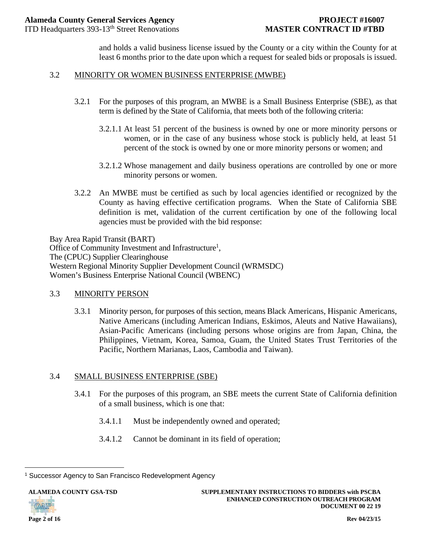and holds a valid business license issued by the County or a city within the County for at least 6 months prior to the date upon which a request for sealed bids or proposals is issued.

### 3.2 MINORITY OR WOMEN BUSINESS ENTERPRISE (MWBE)

- 3.2.1 For the purposes of this program, an MWBE is a Small Business Enterprise (SBE), as that term is defined by the State of California, that meets both of the following criteria:
	- 3.2.1.1 At least 51 percent of the business is owned by one or more minority persons or women, or in the case of any business whose stock is publicly held, at least 51 percent of the stock is owned by one or more minority persons or women; and
	- 3.2.1.2 Whose management and daily business operations are controlled by one or more minority persons or women.
- 3.2.2 An MWBE must be certified as such by local agencies identified or recognized by the County as having effective certification programs. When the State of California SBE definition is met, validation of the current certification by one of the following local agencies must be provided with the bid response:

Bay Area Rapid Transit (BART) Office of Community Investment and Infrastructure<sup>1</sup>, The (CPUC) Supplier Clearinghouse Western Regional Minority Supplier Development Council (WRMSDC) Women's Business Enterprise National Council (WBENC)

### 3.3 MINORITY PERSON

3.3.1 Minority person, for purposes of this section, means Black Americans, Hispanic Americans, Native Americans (including American Indians, Eskimos, Aleuts and Native Hawaiians), Asian-Pacific Americans (including persons whose origins are from Japan, China, the Philippines, Vietnam, Korea, Samoa, Guam, the United States Trust Territories of the Pacific, Northern Marianas, Laos, Cambodia and Taiwan).

### 3.4 SMALL BUSINESS ENTERPRISE (SBE)

- 3.4.1 For the purposes of this program, an SBE meets the current State of California definition of a small business, which is one that:
	- 3.4.1.1 Must be independently owned and operated;
	- 3.4.1.2 Cannot be dominant in its field of operation;



i <sup>1</sup> Successor Agency to San Francisco Redevelopment Agency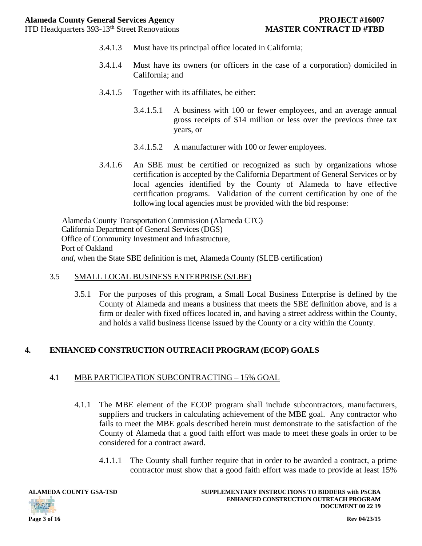- 3.4.1.3 Must have its principal office located in California;
- 3.4.1.4 Must have its owners (or officers in the case of a corporation) domiciled in California; and
- 3.4.1.5 Together with its affiliates, be either:
	- 3.4.1.5.1 A business with 100 or fewer employees, and an average annual gross receipts of \$14 million or less over the previous three tax years, or
	- 3.4.1.5.2 A manufacturer with 100 or fewer employees.
- 3.4.1.6 An SBE must be certified or recognized as such by organizations whose certification is accepted by the California Department of General Services or by local agencies identified by the County of Alameda to have effective certification programs. Validation of the current certification by one of the following local agencies must be provided with the bid response:

 Alameda County Transportation Commission (Alameda CTC) California Department of General Services (DGS) Office of Community Investment and Infrastructure, Port of Oakland *and,* when the State SBE definition is met, Alameda County (SLEB certification)

### 3.5 SMALL LOCAL BUSINESS ENTERPRISE (S/LBE)

3.5.1 For the purposes of this program, a Small Local Business Enterprise is defined by the County of Alameda and means a business that meets the SBE definition above, and is a firm or dealer with fixed offices located in, and having a street address within the County, and holds a valid business license issued by the County or a city within the County.

### **4. ENHANCED CONSTRUCTION OUTREACH PROGRAM (ECOP) GOALS**

### 4.1 MBE PARTICIPATION SUBCONTRACTING – 15% GOAL

- 4.1.1 The MBE element of the ECOP program shall include subcontractors, manufacturers, suppliers and truckers in calculating achievement of the MBE goal. Any contractor who fails to meet the MBE goals described herein must demonstrate to the satisfaction of the County of Alameda that a good faith effort was made to meet these goals in order to be considered for a contract award.
	- 4.1.1.1 The County shall further require that in order to be awarded a contract, a prime contractor must show that a good faith effort was made to provide at least 15%

**ALAMEDA COUNTY GSA-TSD SUPPLEMENTARY INSTRUCTIONS TO BIDDERS with PSCBA ENHANCED CONSTRUCTION OUTREACH PROGRAM DOCUMENT 00 22 19** 

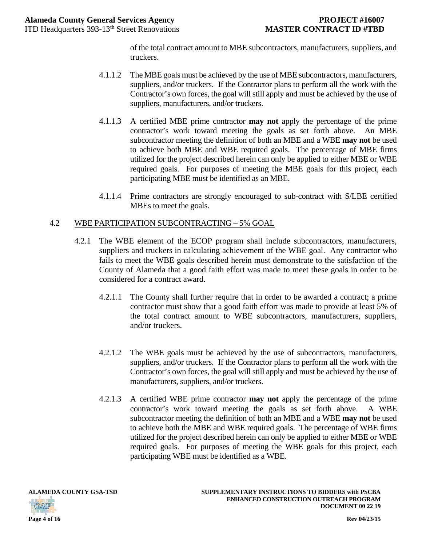of the total contract amount to MBE subcontractors, manufacturers, suppliers, and truckers.

- 4.1.1.2 The MBE goals must be achieved by the use of MBE subcontractors, manufacturers, suppliers, and/or truckers. If the Contractor plans to perform all the work with the Contractor's own forces, the goal will still apply and must be achieved by the use of suppliers, manufacturers, and/or truckers.
- 4.1.1.3 A certified MBE prime contractor **may not** apply the percentage of the prime contractor's work toward meeting the goals as set forth above. An MBE subcontractor meeting the definition of both an MBE and a WBE **may not** be used to achieve both MBE and WBE required goals. The percentage of MBE firms utilized for the project described herein can only be applied to either MBE or WBE required goals. For purposes of meeting the MBE goals for this project, each participating MBE must be identified as an MBE.
- 4.1.1.4 Prime contractors are strongly encouraged to sub-contract with S/LBE certified MBEs to meet the goals.

### 4.2 WBE PARTICIPATION SUBCONTRACTING – 5% GOAL

- 4.2.1 The WBE element of the ECOP program shall include subcontractors, manufacturers, suppliers and truckers in calculating achievement of the WBE goal. Any contractor who fails to meet the WBE goals described herein must demonstrate to the satisfaction of the County of Alameda that a good faith effort was made to meet these goals in order to be considered for a contract award.
	- 4.2.1.1 The County shall further require that in order to be awarded a contract; a prime contractor must show that a good faith effort was made to provide at least 5% of the total contract amount to WBE subcontractors, manufacturers, suppliers, and/or truckers.
	- 4.2.1.2 The WBE goals must be achieved by the use of subcontractors, manufacturers, suppliers, and/or truckers. If the Contractor plans to perform all the work with the Contractor's own forces, the goal will still apply and must be achieved by the use of manufacturers, suppliers, and/or truckers.
	- 4.2.1.3 A certified WBE prime contractor **may not** apply the percentage of the prime contractor's work toward meeting the goals as set forth above. A WBE subcontractor meeting the definition of both an MBE and a WBE **may not** be used to achieve both the MBE and WBE required goals. The percentage of WBE firms utilized for the project described herein can only be applied to either MBE or WBE required goals. For purposes of meeting the WBE goals for this project, each participating WBE must be identified as a WBE.

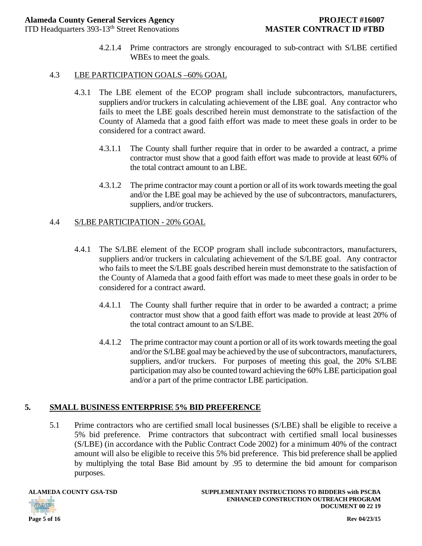4.2.1.4 Prime contractors are strongly encouraged to sub-contract with S/LBE certified WBEs to meet the goals.

### 4.3 LBE PARTICIPATION GOALS –60% GOAL

- 4.3.1 The LBE element of the ECOP program shall include subcontractors, manufacturers, suppliers and/or truckers in calculating achievement of the LBE goal. Any contractor who fails to meet the LBE goals described herein must demonstrate to the satisfaction of the County of Alameda that a good faith effort was made to meet these goals in order to be considered for a contract award.
	- 4.3.1.1 The County shall further require that in order to be awarded a contract, a prime contractor must show that a good faith effort was made to provide at least 60% of the total contract amount to an LBE.
	- 4.3.1.2 The prime contractor may count a portion or all of its work towards meeting the goal and/or the LBE goal may be achieved by the use of subcontractors, manufacturers, suppliers, and/or truckers.

### 4.4 S/LBE PARTICIPATION - 20% GOAL

- 4.4.1 The S/LBE element of the ECOP program shall include subcontractors, manufacturers, suppliers and/or truckers in calculating achievement of the S/LBE goal. Any contractor who fails to meet the S/LBE goals described herein must demonstrate to the satisfaction of the County of Alameda that a good faith effort was made to meet these goals in order to be considered for a contract award.
	- 4.4.1.1 The County shall further require that in order to be awarded a contract; a prime contractor must show that a good faith effort was made to provide at least 20% of the total contract amount to an S/LBE.
	- 4.4.1.2 The prime contractor may count a portion or all of its work towards meeting the goal and/or the S/LBE goal may be achieved by the use of subcontractors, manufacturers, suppliers, and/or truckers. For purposes of meeting this goal, the 20% S/LBE participation may also be counted toward achieving the 60% LBE participation goal and/or a part of the prime contractor LBE participation.

### **5. SMALL BUSINESS ENTERPRISE 5% BID PREFERENCE**

5.1 Prime contractors who are certified small local businesses (S/LBE) shall be eligible to receive a 5% bid preference. Prime contractors that subcontract with certified small local businesses (S/LBE) (in accordance with the Public Contract Code 2002) for a minimum 40% of the contract amount will also be eligible to receive this 5% bid preference. This bid preference shall be applied by multiplying the total Base Bid amount by .95 to determine the bid amount for comparison purposes.



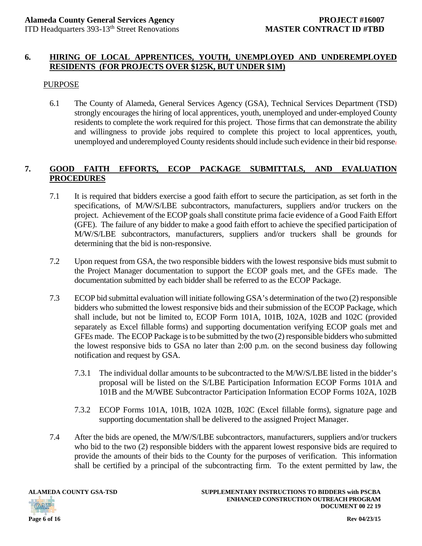### **6. HIRING OF LOCAL APPRENTICES, YOUTH, UNEMPLOYED AND UNDEREMPLOYED RESIDENTS (FOR PROJECTS OVER \$125K, BUT UNDER \$1M)**

### PURPOSE

6.1 The County of Alameda, General Services Agency (GSA), Technical Services Department (TSD) strongly encourages the hiring of local apprentices, youth, unemployed and under-employed County residents to complete the work required for this project. Those firms that can demonstrate the ability and willingness to provide jobs required to complete this project to local apprentices, youth, unemployed and underemployed County residents should include such evidence in their bid response.

### **7. GOOD FAITH EFFORTS, ECOP PACKAGE SUBMITTALS, AND EVALUATION PROCEDURES**

- 7.1 It is required that bidders exercise a good faith effort to secure the participation, as set forth in the specifications, of M/W/S/LBE subcontractors, manufacturers, suppliers and/or truckers on the project. Achievement of the ECOP goals shall constitute prima facie evidence of a Good Faith Effort (GFE). The failure of any bidder to make a good faith effort to achieve the specified participation of M/W/S/LBE subcontractors, manufacturers, suppliers and/or truckers shall be grounds for determining that the bid is non-responsive.
- 7.2 Upon request from GSA, the two responsible bidders with the lowest responsive bids must submit to the Project Manager documentation to support the ECOP goals met, and the GFEs made. The documentation submitted by each bidder shall be referred to as the ECOP Package.
- 7.3 ECOP bid submittal evaluation will initiate following GSA's determination of the two (2) responsible bidders who submitted the lowest responsive bids and their submission of the ECOP Package, which shall include, but not be limited to, ECOP Form 101A, 101B, 102A, 102B and 102C (provided separately as Excel fillable forms) and supporting documentation verifying ECOP goals met and GFEs made. The ECOP Package is to be submitted by the two (2) responsible bidders who submitted the lowest responsive bids to GSA no later than 2:00 p.m. on the second business day following notification and request by GSA.
	- 7.3.1 The individual dollar amounts to be subcontracted to the M/W/S/LBE listed in the bidder's proposal will be listed on the S/LBE Participation Information ECOP Forms 101A and 101B and the M/WBE Subcontractor Participation Information ECOP Forms 102A, 102B
	- 7.3.2 ECOP Forms 101A, 101B, 102A 102B, 102C (Excel fillable forms), signature page and supporting documentation shall be delivered to the assigned Project Manager.
- 7.4 After the bids are opened, the M/W/S/LBE subcontractors, manufacturers, suppliers and/or truckers who bid to the two (2) responsible bidders with the apparent lowest responsive bids are required to provide the amounts of their bids to the County for the purposes of verification. This information shall be certified by a principal of the subcontracting firm. To the extent permitted by law, the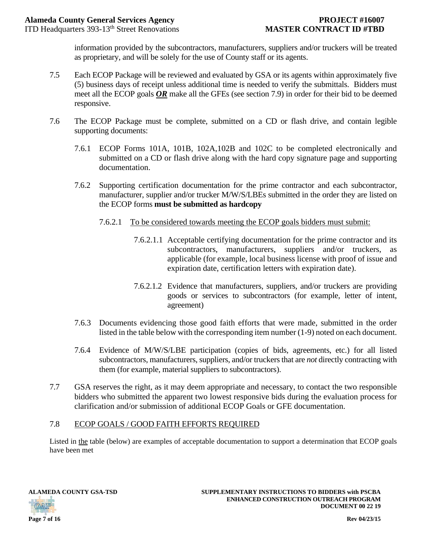information provided by the subcontractors, manufacturers, suppliers and/or truckers will be treated as proprietary, and will be solely for the use of County staff or its agents.

- 7.5 Each ECOP Package will be reviewed and evaluated by GSA or its agents within approximately five (5) business days of receipt unless additional time is needed to verify the submittals. Bidders must meet all the ECOP goals *OR* make all the GFEs (see section 7.9) in order for their bid to be deemed responsive.
- 7.6 The ECOP Package must be complete, submitted on a CD or flash drive, and contain legible supporting documents:
	- 7.6.1 ECOP Forms 101A, 101B, 102A,102B and 102C to be completed electronically and submitted on a CD or flash drive along with the hard copy signature page and supporting documentation.
	- 7.6.2 Supporting certification documentation for the prime contractor and each subcontractor, manufacturer, supplier and/or trucker M/W/S/LBEs submitted in the order they are listed on the ECOP forms **must be submitted as hardcopy**
		- 7.6.2.1 To be considered towards meeting the ECOP goals bidders must submit:
			- 7.6.2.1.1 Acceptable certifying documentation for the prime contractor and its subcontractors, manufacturers, suppliers and/or truckers, as applicable (for example, local business license with proof of issue and expiration date, certification letters with expiration date).
			- 7.6.2.1.2 Evidence that manufacturers, suppliers, and/or truckers are providing goods or services to subcontractors (for example, letter of intent, agreement)
	- 7.6.3 Documents evidencing those good faith efforts that were made, submitted in the order listed in the table below with the corresponding item number (1-9) noted on each document.
	- 7.6.4 Evidence of M/W/S/LBE participation (copies of bids, agreements, etc.) for all listed subcontractors, manufacturers, suppliers, and/or truckers that are *not* directly contracting with them (for example, material suppliers to subcontractors).
- 7.7 GSA reserves the right, as it may deem appropriate and necessary, to contact the two responsible bidders who submitted the apparent two lowest responsive bids during the evaluation process for clarification and/or submission of additional ECOP Goals or GFE documentation.

### 7.8 ECOP GOALS / GOOD FAITH EFFORTS REQUIRED

Listed in the table (below) are examples of acceptable documentation to support a determination that ECOP goals have been met

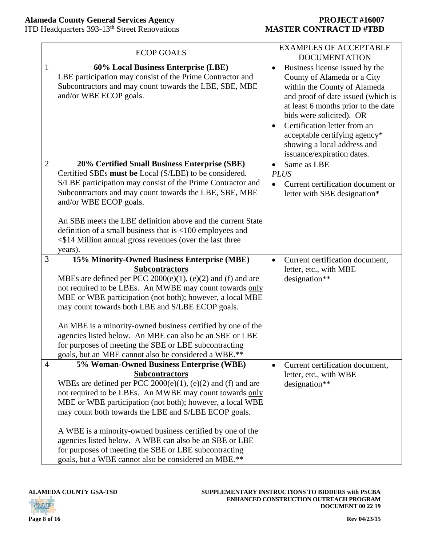### **Alameda County General Services Agency PROJECT #16007**

ITD Headquarters 393-13th Street Renovations **MASTER CONTRACT ID #TBD**

|                | <b>ECOP GOALS</b>                                                                                                                                                                                                                                                                                                | <b>EXAMPLES OF ACCEPTABLE</b><br><b>DOCUMENTATION</b>                                                                                                                                                                                                                                                                                                          |
|----------------|------------------------------------------------------------------------------------------------------------------------------------------------------------------------------------------------------------------------------------------------------------------------------------------------------------------|----------------------------------------------------------------------------------------------------------------------------------------------------------------------------------------------------------------------------------------------------------------------------------------------------------------------------------------------------------------|
| $\mathbf{1}$   | 60% Local Business Enterprise (LBE)<br>LBE participation may consist of the Prime Contractor and<br>Subcontractors and may count towards the LBE, SBE, MBE<br>and/or WBE ECOP goals.                                                                                                                             | Business license issued by the<br>$\bullet$<br>County of Alameda or a City<br>within the County of Alameda<br>and proof of date issued (which is<br>at least 6 months prior to the date<br>bids were solicited). OR<br>Certification letter from an<br>$\bullet$<br>acceptable certifying agency*<br>showing a local address and<br>issuance/expiration dates. |
| 2              | 20% Certified Small Business Enterprise (SBE)                                                                                                                                                                                                                                                                    | Same as LBE<br>$\bullet$                                                                                                                                                                                                                                                                                                                                       |
|                | Certified SBEs must be <i>Local</i> (S/LBE) to be considered.                                                                                                                                                                                                                                                    | <b>PLUS</b>                                                                                                                                                                                                                                                                                                                                                    |
|                | S/LBE participation may consist of the Prime Contractor and<br>Subcontractors and may count towards the LBE, SBE, MBE<br>and/or WBE ECOP goals.                                                                                                                                                                  | Current certification document or<br>$\bullet$<br>letter with SBE designation*                                                                                                                                                                                                                                                                                 |
|                | An SBE meets the LBE definition above and the current State                                                                                                                                                                                                                                                      |                                                                                                                                                                                                                                                                                                                                                                |
|                | definition of a small business that is $<$ 100 employees and                                                                                                                                                                                                                                                     |                                                                                                                                                                                                                                                                                                                                                                |
|                | $\leq$ \$14 Million annual gross revenues (over the last three                                                                                                                                                                                                                                                   |                                                                                                                                                                                                                                                                                                                                                                |
|                | years).                                                                                                                                                                                                                                                                                                          |                                                                                                                                                                                                                                                                                                                                                                |
| 3              | 15% Minority-Owned Business Enterprise (MBE)<br><b>Subcontractors</b><br>MBEs are defined per PCC 2000(e)(1), (e)(2) and (f) and are<br>not required to be LBEs. An MWBE may count towards only<br>MBE or WBE participation (not both); however, a local MBE<br>may count towards both LBE and S/LBE ECOP goals. | Current certification document,<br>$\bullet$<br>letter, etc., with MBE<br>designation**                                                                                                                                                                                                                                                                        |
|                |                                                                                                                                                                                                                                                                                                                  |                                                                                                                                                                                                                                                                                                                                                                |
|                | An MBE is a minority-owned business certified by one of the<br>agencies listed below. An MBE can also be an SBE or LBE                                                                                                                                                                                           |                                                                                                                                                                                                                                                                                                                                                                |
|                | for purposes of meeting the SBE or LBE subcontracting                                                                                                                                                                                                                                                            |                                                                                                                                                                                                                                                                                                                                                                |
|                | goals, but an MBE cannot also be considered a WBE.**                                                                                                                                                                                                                                                             |                                                                                                                                                                                                                                                                                                                                                                |
| $\overline{4}$ | 5% Woman-Owned Business Enterprise (WBE)                                                                                                                                                                                                                                                                         | Current certification document,<br>$\bullet$                                                                                                                                                                                                                                                                                                                   |
|                | <b>Subcontractors</b>                                                                                                                                                                                                                                                                                            | letter, etc., with WBE                                                                                                                                                                                                                                                                                                                                         |
|                | WBEs are defined per PCC $2000(e)(1)$ , (e)(2) and (f) and are                                                                                                                                                                                                                                                   | designation**                                                                                                                                                                                                                                                                                                                                                  |
|                | not required to be LBEs. An MWBE may count towards only                                                                                                                                                                                                                                                          |                                                                                                                                                                                                                                                                                                                                                                |
|                | MBE or WBE participation (not both); however, a local WBE<br>may count both towards the LBE and S/LBE ECOP goals.                                                                                                                                                                                                |                                                                                                                                                                                                                                                                                                                                                                |
|                |                                                                                                                                                                                                                                                                                                                  |                                                                                                                                                                                                                                                                                                                                                                |
|                | A WBE is a minority-owned business certified by one of the<br>agencies listed below. A WBE can also be an SBE or LBE<br>for purposes of meeting the SBE or LBE subcontracting<br>goals, but a WBE cannot also be considered an MBE.**                                                                            |                                                                                                                                                                                                                                                                                                                                                                |

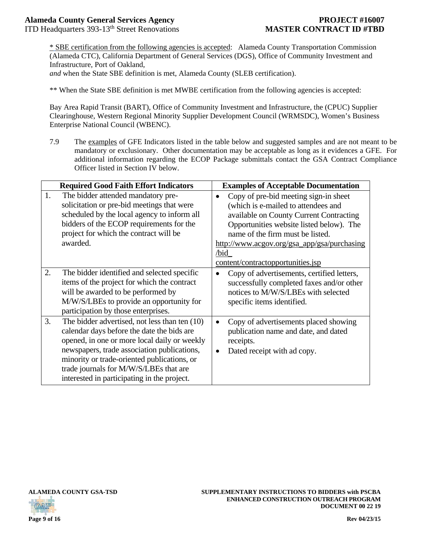ITD Headquarters 393-13th Street Renovations **MASTER CONTRACT ID #TBD**

\* SBE certification from the following agencies is accepted: Alameda County Transportation Commission (Alameda CTC), California Department of General Services (DGS), Office of Community Investment and Infrastructure, Port of Oakland,

*and* when the State SBE definition is met, Alameda County (SLEB certification).

\*\* When the State SBE definition is met MWBE certification from the following agencies is accepted:

Bay Area Rapid Transit (BART), Office of Community Investment and Infrastructure, the (CPUC) Supplier Clearinghouse, Western Regional Minority Supplier Development Council (WRMSDC), Women's Business Enterprise National Council (WBENC).

7.9 The examples of GFE Indicators listed in the table below and suggested samples and are not meant to be mandatory or exclusionary. Other documentation may be acceptable as long as it evidences a GFE. For additional information regarding the ECOP Package submittals contact the GSA Contract Compliance Officer listed in Section IV below.

|    | <b>Required Good Faith Effort Indicators</b>                                                                                                                                                                                                                                                                                       | <b>Examples of Acceptable Documentation</b>                                                                                                                                                                                                                                                                      |
|----|------------------------------------------------------------------------------------------------------------------------------------------------------------------------------------------------------------------------------------------------------------------------------------------------------------------------------------|------------------------------------------------------------------------------------------------------------------------------------------------------------------------------------------------------------------------------------------------------------------------------------------------------------------|
| 1. | The bidder attended mandatory pre-<br>solicitation or pre-bid meetings that were<br>scheduled by the local agency to inform all<br>bidders of the ECOP requirements for the<br>project for which the contract will be<br>awarded.                                                                                                  | Copy of pre-bid meeting sign-in sheet<br>$\bullet$<br>(which is e-mailed to attendees and<br>available on County Current Contracting<br>Opportunities website listed below). The<br>name of the firm must be listed.<br>http://www.acgov.org/gsa_app/gsa/purchasing<br>/bid<br>content/contractopportunities.jsp |
| 2. | The bidder identified and selected specific<br>items of the project for which the contract<br>will be awarded to be performed by<br>M/W/S/LBEs to provide an opportunity for<br>participation by those enterprises.                                                                                                                | Copy of advertisements, certified letters,<br>$\bullet$<br>successfully completed faxes and/or other<br>notices to M/W/S/LBEs with selected<br>specific items identified.                                                                                                                                        |
| 3. | The bidder advertised, not less than ten (10)<br>calendar days before the date the bids are<br>opened, in one or more local daily or weekly<br>newspapers, trade association publications,<br>minority or trade-oriented publications, or<br>trade journals for M/W/S/LBEs that are<br>interested in participating in the project. | Copy of advertisements placed showing<br>$\bullet$<br>publication name and date, and dated<br>receipts.<br>Dated receipt with ad copy.<br>$\bullet$                                                                                                                                                              |



**ALAMEDA COUNTY GSA-TSD SUPPLEMENTARY INSTRUCTIONS TO BIDDERS with PSCBA ENHANCED CONSTRUCTION OUTREACH PROGRAM DOCUMENT 00 22 19**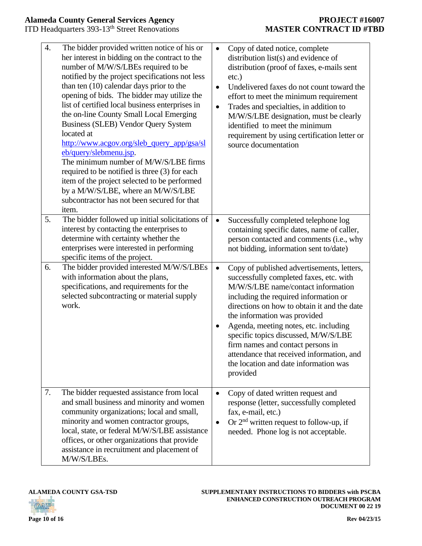| $\overline{4}$ . | The bidder provided written notice of his or<br>her interest in bidding on the contract to the<br>number of M/W/S/LBEs required to be<br>notified by the project specifications not less<br>than ten $(10)$ calendar days prior to the<br>opening of bids. The bidder may utilize the<br>list of certified local business enterprises in<br>the on-line County Small Local Emerging<br>Business (SLEB) Vendor Query System<br>located at<br>http://www.acgov.org/sleb_query_app/gsa/sl<br>eb/query/slebmenu.jsp.<br>The minimum number of M/W/S/LBE firms<br>required to be notified is three (3) for each<br>item of the project selected to be performed<br>by a M/W/S/LBE, where an M/W/S/LBE<br>subcontractor has not been secured for that<br>item. | $\bullet$<br>$\bullet$<br>$\bullet$ | Copy of dated notice, complete<br>distribution list(s) and evidence of<br>distribution (proof of faxes, e-mails sent<br>$etc.$ )<br>Undelivered faxes do not count toward the<br>effort to meet the minimum requirement<br>Trades and specialties, in addition to<br>M/W/S/LBE designation, must be clearly<br>identified to meet the minimum<br>requirement by using certification letter or<br>source documentation                                                       |
|------------------|----------------------------------------------------------------------------------------------------------------------------------------------------------------------------------------------------------------------------------------------------------------------------------------------------------------------------------------------------------------------------------------------------------------------------------------------------------------------------------------------------------------------------------------------------------------------------------------------------------------------------------------------------------------------------------------------------------------------------------------------------------|-------------------------------------|-----------------------------------------------------------------------------------------------------------------------------------------------------------------------------------------------------------------------------------------------------------------------------------------------------------------------------------------------------------------------------------------------------------------------------------------------------------------------------|
| 5.               | The bidder followed up initial solicitations of<br>interest by contacting the enterprises to<br>determine with certainty whether the<br>enterprises were interested in performing<br>specific items of the project.                                                                                                                                                                                                                                                                                                                                                                                                                                                                                                                                      | $\bullet$                           | Successfully completed telephone log<br>containing specific dates, name of caller,<br>person contacted and comments (i.e., why<br>not bidding, information sent to/date)                                                                                                                                                                                                                                                                                                    |
| 6.               | The bidder provided interested M/W/S/LBEs<br>with information about the plans,<br>specifications, and requirements for the<br>selected subcontracting or material supply<br>work.                                                                                                                                                                                                                                                                                                                                                                                                                                                                                                                                                                        | $\bullet$<br>$\bullet$              | Copy of published advertisements, letters,<br>successfully completed faxes, etc. with<br>M/W/S/LBE name/contact information<br>including the required information or<br>directions on how to obtain it and the date<br>the information was provided<br>Agenda, meeting notes, etc. including<br>specific topics discussed, M/W/S/LBE<br>firm names and contact persons in<br>attendance that received information, and<br>the location and date information was<br>provided |
| 7.               | The bidder requested assistance from local<br>and small business and minority and women<br>community organizations; local and small,<br>minority and women contractor groups,<br>local, state, or federal M/W/S/LBE assistance<br>offices, or other organizations that provide<br>assistance in recruitment and placement of<br>M/W/S/LBEs.                                                                                                                                                                                                                                                                                                                                                                                                              | $\bullet$                           | Copy of dated written request and<br>response (letter, successfully completed<br>fax, e-mail, etc.)<br>Or $2nd$ written request to follow-up, if<br>needed. Phone log is not acceptable.                                                                                                                                                                                                                                                                                    |

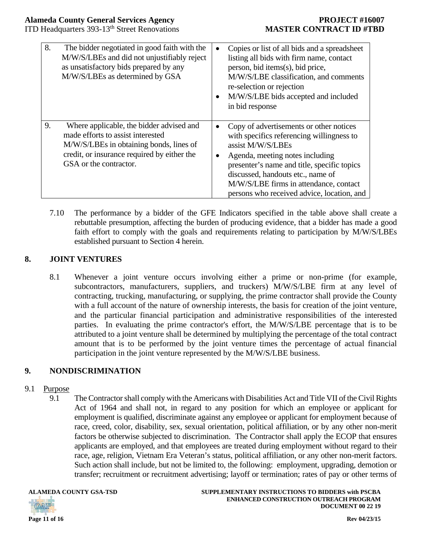| 8. | The bidder negotiated in good faith with the<br>M/W/S/LBEs and did not unjustifiably reject<br>as unsatisfactory bids prepared by any<br>M/W/S/LBEs as determined by GSA                          | $\bullet$<br>$\bullet$ | Copies or list of all bids and a spreadsheet<br>listing all bids with firm name, contact<br>person, bid items(s), bid price,<br>M/W/S/LBE classification, and comments<br>re-selection or rejection<br>M/W/S/LBE bids accepted and included<br>in bid response                                                           |
|----|---------------------------------------------------------------------------------------------------------------------------------------------------------------------------------------------------|------------------------|--------------------------------------------------------------------------------------------------------------------------------------------------------------------------------------------------------------------------------------------------------------------------------------------------------------------------|
| 9. | Where applicable, the bidder advised and<br>made efforts to assist interested<br>M/W/S/LBEs in obtaining bonds, lines of<br>credit, or insurance required by either the<br>GSA or the contractor. | $\bullet$<br>$\bullet$ | Copy of advertisements or other notices<br>with specifics referencing willingness to<br>assist M/W/S/LBEs<br>Agenda, meeting notes including<br>presenter's name and title, specific topics<br>discussed, handouts etc., name of<br>M/W/S/LBE firms in attendance, contact<br>persons who received advice, location, and |

7.10 The performance by a bidder of the GFE Indicators specified in the table above shall create a rebuttable presumption, affecting the burden of producing evidence, that a bidder has made a good faith effort to comply with the goals and requirements relating to participation by M/W/S/LBEs established pursuant to Section 4 herein.

### **8. JOINT VENTURES**

8.1 Whenever a joint venture occurs involving either a prime or non-prime (for example, subcontractors, manufacturers, suppliers, and truckers) M/W/S/LBE firm at any level of contracting, trucking, manufacturing, or supplying, the prime contractor shall provide the County with a full account of the nature of ownership interests, the basis for creation of the joint venture, and the particular financial participation and administrative responsibilities of the interested parties. In evaluating the prime contractor's effort, the M/W/S/LBE percentage that is to be attributed to a joint venture shall be determined by multiplying the percentage of the total contract amount that is to be performed by the joint venture times the percentage of actual financial participation in the joint venture represented by the M/W/S/LBE business.

### **9. NONDISCRIMINATION**

### 9.1 Purpose

9.1 The Contractor shall comply with the Americans with Disabilities Act and Title VII of the Civil Rights Act of 1964 and shall not, in regard to any position for which an employee or applicant for employment is qualified, discriminate against any employee or applicant for employment because of race, creed, color, disability, sex, sexual orientation, political affiliation, or by any other non-merit factors be otherwise subjected to discrimination. The Contractor shall apply the ECOP that ensures applicants are employed, and that employees are treated during employment without regard to their race, age, religion, Vietnam Era Veteran's status, political affiliation, or any other non-merit factors. Such action shall include, but not be limited to, the following: employment, upgrading, demotion or transfer; recruitment or recruitment advertising; layoff or termination; rates of pay or other terms of

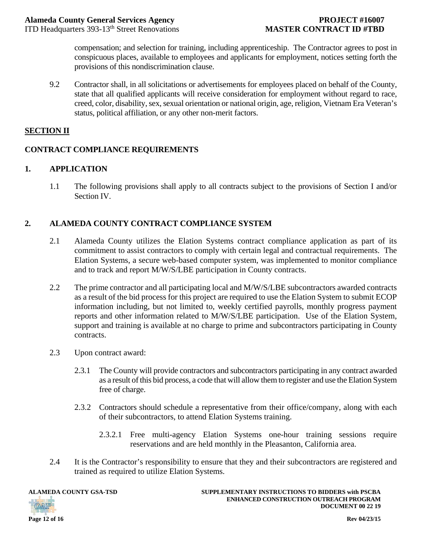ITD Headquarters 393-13th Street Renovations **MASTER CONTRACT ID #TBD**

compensation; and selection for training, including apprenticeship. The Contractor agrees to post in conspicuous places, available to employees and applicants for employment, notices setting forth the provisions of this nondiscrimination clause.

9.2 Contractor shall, in all solicitations or advertisements for employees placed on behalf of the County, state that all qualified applicants will receive consideration for employment without regard to race, creed, color, disability, sex, sexual orientation or national origin, age, religion, Vietnam Era Veteran's status, political affiliation, or any other non-merit factors.

### **SECTION II**

### **CONTRACT COMPLIANCE REQUIREMENTS**

### **1. APPLICATION**

1.1 The following provisions shall apply to all contracts subject to the provisions of Section I and/or Section IV.

### **2. ALAMEDA COUNTY CONTRACT COMPLIANCE SYSTEM**

- 2.1 Alameda County utilizes the Elation Systems contract compliance application as part of its commitment to assist contractors to comply with certain legal and contractual requirements. The Elation Systems, a secure web-based computer system, was implemented to monitor compliance and to track and report M/W/S/LBE participation in County contracts.
- 2.2 The prime contractor and all participating local and M/W/S/LBE subcontractors awarded contracts as a result of the bid process for this project are required to use the Elation System to submit ECOP information including, but not limited to, weekly certified payrolls, monthly progress payment reports and other information related to M/W/S/LBE participation. Use of the Elation System, support and training is available at no charge to prime and subcontractors participating in County contracts.
- 2.3 Upon contract award:
	- 2.3.1 The County will provide contractors and subcontractors participating in any contract awarded as a result of this bid process, a code that will allow them to register and use the Elation System free of charge.
	- 2.3.2 Contractors should schedule a representative from their office/company, along with each of their subcontractors, to attend Elation Systems training.
		- 2.3.2.1 Free multi-agency Elation Systems one-hour training sessions require reservations and are held monthly in the Pleasanton, California area.
- 2.4 It is the Contractor's responsibility to ensure that they and their subcontractors are registered and trained as required to utilize Elation Systems.



**ALAMEDA COUNTY GSA-TSD SUPPLEMENTARY INSTRUCTIONS TO BIDDERS with PSCBA ENHANCED CONSTRUCTION OUTREACH PROGRAM DOCUMENT 00 22 19**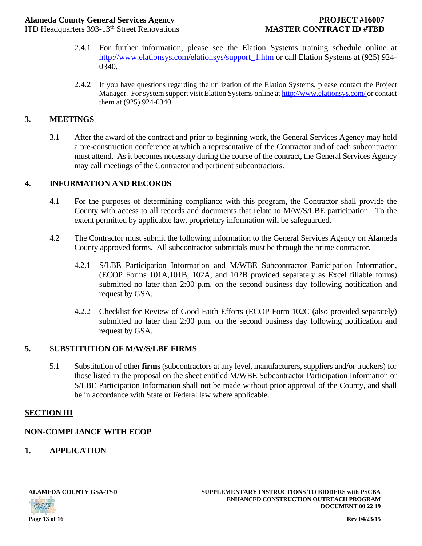### **Alameda County General Services Agency PROJECT #16007**

ITD Headquarters 393-13th Street Renovations **MASTER CONTRACT ID #TBD**

- 2.4.1 For further information, please see the Elation Systems training schedule online at http://www.elationsys.com/elationsys/support\_1.htm or call Elation Systems at (925) 924- 0340.
- 2.4.2 If you have questions regarding the utilization of the Elation Systems, please contact the Project Manager. For system support visit Elation Systems online at http://www.elationsys.com/ or contact them at (925) 924-0340.

### **3. MEETINGS**

3.1 After the award of the contract and prior to beginning work, the General Services Agency may hold a pre-construction conference at which a representative of the Contractor and of each subcontractor must attend. As it becomes necessary during the course of the contract, the General Services Agency may call meetings of the Contractor and pertinent subcontractors.

### **4. INFORMATION AND RECORDS**

- 4.1 For the purposes of determining compliance with this program, the Contractor shall provide the County with access to all records and documents that relate to M/W/S/LBE participation. To the extent permitted by applicable law, proprietary information will be safeguarded.
- 4.2 The Contractor must submit the following information to the General Services Agency on Alameda County approved forms. All subcontractor submittals must be through the prime contractor.
	- 4.2.1 S/LBE Participation Information and M/WBE Subcontractor Participation Information, (ECOP Forms 101A,101B, 102A, and 102B provided separately as Excel fillable forms) submitted no later than 2:00 p.m. on the second business day following notification and request by GSA.
	- 4.2.2 Checklist for Review of Good Faith Efforts (ECOP Form 102C (also provided separately) submitted no later than 2:00 p.m. on the second business day following notification and request by GSA.

### **5. SUBSTITUTION OF M/W/S/LBE FIRMS**

5.1 Substitution of other **firms** (subcontractors at any level, manufacturers, suppliers and/or truckers) for those listed in the proposal on the sheet entitled M/WBE Subcontractor Participation Information or S/LBE Participation Information shall not be made without prior approval of the County, and shall be in accordance with State or Federal law where applicable.

### **SECTION III**

### **NON-COMPLIANCE WITH ECOP**

**1. APPLICATION** 

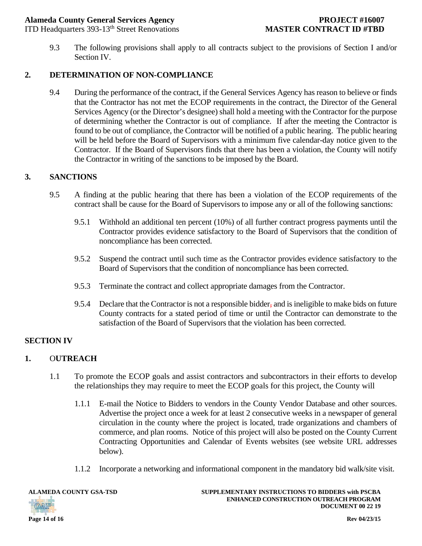### **Alameda County General Services Agency PROJECT #16007**

ITD Headquarters 393-13th Street Renovations **MASTER CONTRACT ID #TBD**

9.3 The following provisions shall apply to all contracts subject to the provisions of Section I and/or Section IV.

### **2. DETERMINATION OF NON-COMPLIANCE**

9.4 During the performance of the contract, if the General Services Agency has reason to believe or finds that the Contractor has not met the ECOP requirements in the contract, the Director of the General Services Agency (or the Director's designee) shall hold a meeting with the Contractor for the purpose of determining whether the Contractor is out of compliance. If after the meeting the Contractor is found to be out of compliance, the Contractor will be notified of a public hearing. The public hearing will be held before the Board of Supervisors with a minimum five calendar-day notice given to the Contractor. If the Board of Supervisors finds that there has been a violation, the County will notify the Contractor in writing of the sanctions to be imposed by the Board.

### **3. SANCTIONS**

- 9.5 A finding at the public hearing that there has been a violation of the ECOP requirements of the contract shall be cause for the Board of Supervisors to impose any or all of the following sanctions:
	- 9.5.1 Withhold an additional ten percent (10%) of all further contract progress payments until the Contractor provides evidence satisfactory to the Board of Supervisors that the condition of noncompliance has been corrected.
	- 9.5.2 Suspend the contract until such time as the Contractor provides evidence satisfactory to the Board of Supervisors that the condition of noncompliance has been corrected.
	- 9.5.3 Terminate the contract and collect appropriate damages from the Contractor.
	- 9.5.4 Declare that the Contractor is not a responsible bidder, and is ineligible to make bids on future County contracts for a stated period of time or until the Contractor can demonstrate to the satisfaction of the Board of Supervisors that the violation has been corrected.

### **SECTION IV**

### **1.** O**UTREACH**

- 1.1 To promote the ECOP goals and assist contractors and subcontractors in their efforts to develop the relationships they may require to meet the ECOP goals for this project, the County will
	- 1.1.1 E-mail the Notice to Bidders to vendors in the County Vendor Database and other sources. Advertise the project once a week for at least 2 consecutive weeks in a newspaper of general circulation in the county where the project is located, trade organizations and chambers of commerce, and plan rooms. Notice of this project will also be posted on the County Current Contracting Opportunities and Calendar of Events websites (see website URL addresses below).
	- 1.1.2 Incorporate a networking and informational component in the mandatory bid walk/site visit.

**OATP** 

**ALAMEDA COUNTY GSA-TSD SUPPLEMENTARY INSTRUCTIONS TO BIDDERS with PSCBA ENHANCED CONSTRUCTION OUTREACH PROGRAM DOCUMENT 00 22 19**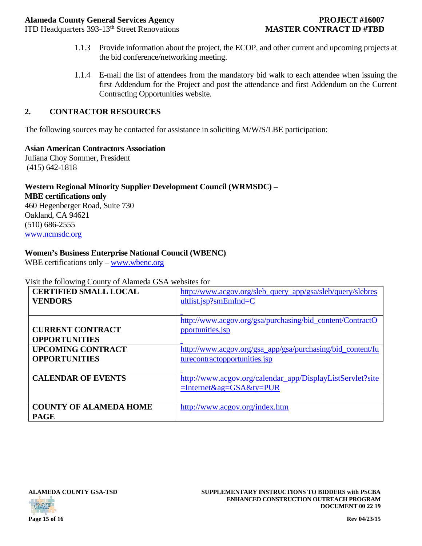ITD Headquarters 393-13th Street Renovations **MASTER CONTRACT ID #TBD**

- 1.1.3 Provide information about the project, the ECOP, and other current and upcoming projects at the bid conference/networking meeting.
- 1.1.4 E-mail the list of attendees from the mandatory bid walk to each attendee when issuing the first Addendum for the Project and post the attendance and first Addendum on the Current Contracting Opportunities website.

### **2. CONTRACTOR RESOURCES**

The following sources may be contacted for assistance in soliciting M/W/S/LBE participation:

**Asian American Contractors Association**  Juliana Choy Sommer, President

(415) 642-1818

### **Western Regional Minority Supplier Development Council (WRMSDC) –**

**MBE certifications only** 

460 Hegenberger Road, Suite 730 Oakland, CA 94621 (510) 686-2555 www.ncmsdc.org

### **Women's Business Enterprise National Council (WBENC)**

WBE certifications only – www.wbenc.org

### Visit the following County of Alameda GSA websites for

| $\frac{1}{2}$<br><b>CERTIFIED SMALL LOCAL</b> | http://www.acgov.org/sleb_query_app/gsa/sleb/query/slebres |  |  |
|-----------------------------------------------|------------------------------------------------------------|--|--|
| <b>VENDORS</b>                                | $ultlist.jsp?smEmInd=C$                                    |  |  |
|                                               | http://www.acgov.org/gsa/purchasing/bid_content/ContractO  |  |  |
| <b>CURRENT CONTRACT</b>                       | pportunities.jsp                                           |  |  |
| <b>OPPORTUNITIES</b>                          |                                                            |  |  |
| <b>UPCOMING CONTRACT</b>                      | http://www.acgov.org/gsa_app/gsa/purchasing/bid_content/fu |  |  |
| <b>OPPORTUNITIES</b>                          | turecontractopportunities.jsp                              |  |  |
|                                               |                                                            |  |  |
| <b>CALENDAR OF EVENTS</b>                     | http://www.acgov.org/calendar_app/DisplayListServlet?site  |  |  |
|                                               | $=$ Internet&ag=GSA&ty=PUR                                 |  |  |
|                                               |                                                            |  |  |
| <b>COUNTY OF ALAMEDA HOME</b>                 | http://www.acgov.org/index.htm                             |  |  |
| <b>PAGE</b>                                   |                                                            |  |  |





**ALAMEDA COUNTY GSA-TSD SUPPLEMENTARY INSTRUCTIONS TO BIDDERS with PSCBA ENHANCED CONSTRUCTION OUTREACH PROGRAM DOCUMENT 00 22 19**